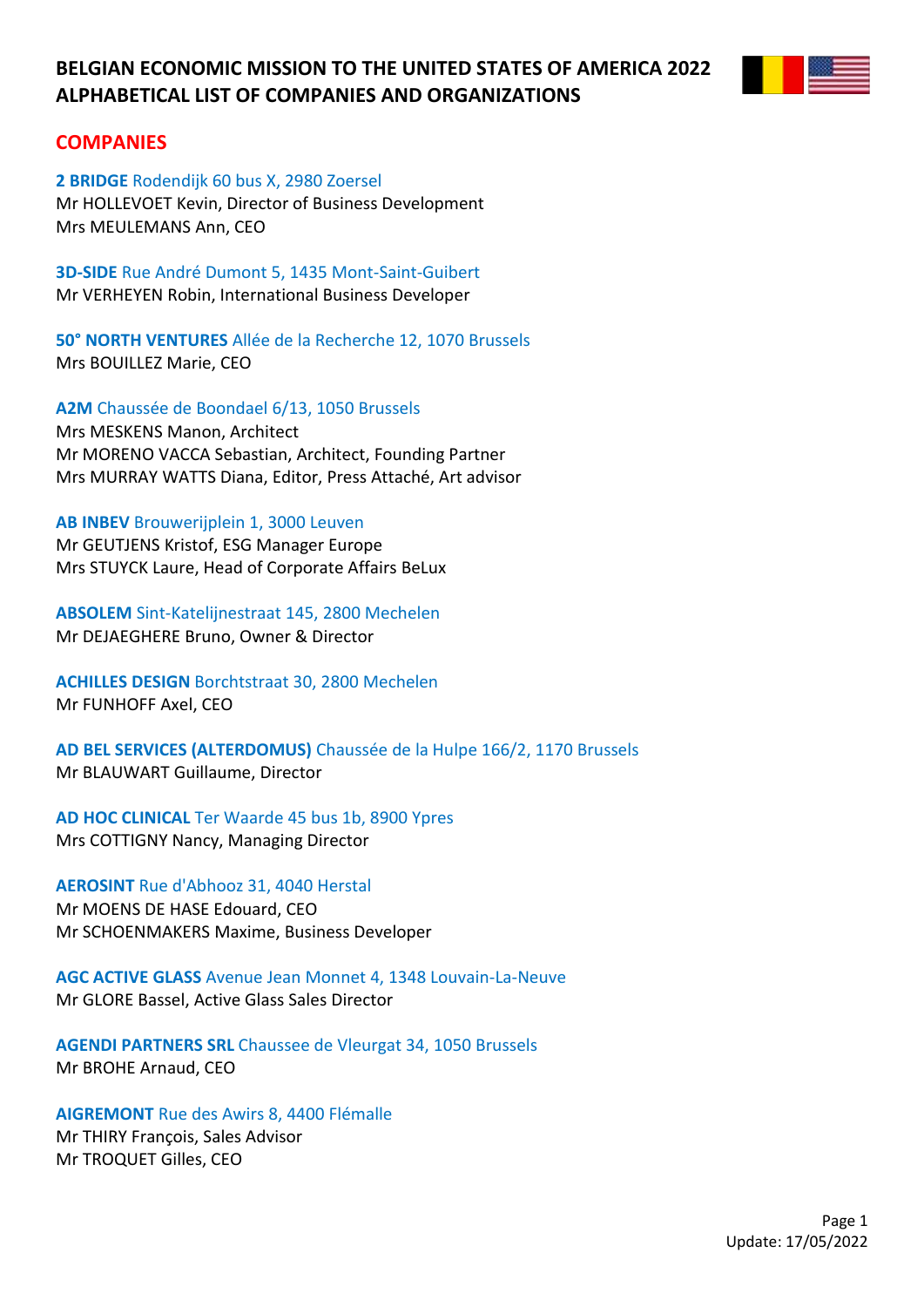

## **COMPANIES**

**2 BRIDGE** Rodendijk 60 bus X, 2980 Zoersel Mr HOLLEVOET Kevin, Director of Business Development Mrs MEULEMANS Ann, CEO

**3D-SIDE** Rue André Dumont 5, 1435 Mont-Saint-Guibert Mr VERHEYEN Robin, International Business Developer

**50° NORTH VENTURES** Allée de la Recherche 12, 1070 Brussels Mrs BOUILLEZ Marie, CEO

**A2M** Chaussée de Boondael 6/13, 1050 Brussels Mrs MESKENS Manon, Architect Mr MORENO VACCA Sebastian, Architect, Founding Partner Mrs MURRAY WATTS Diana, Editor, Press Attaché, Art advisor

**AB INBEV** Brouwerijplein 1, 3000 Leuven

Mr GEUTJENS Kristof, ESG Manager Europe Mrs STUYCK Laure, Head of Corporate Affairs BeLux

**ABSOLEM** Sint-Katelijnestraat 145, 2800 Mechelen Mr DEJAEGHERE Bruno, Owner & Director

**ACHILLES DESIGN** Borchtstraat 30, 2800 Mechelen Mr FUNHOFF Axel, CEO

**AD BEL SERVICES (ALTERDOMUS)** Chaussée de la Hulpe 166/2, 1170 Brussels Mr BLAUWART Guillaume, Director

**AD HOC CLINICAL** Ter Waarde 45 bus 1b, 8900 Ypres Mrs COTTIGNY Nancy, Managing Director

**AEROSINT** Rue d'Abhooz 31, 4040 Herstal Mr MOENS DE HASE Edouard, CEO Mr SCHOENMAKERS Maxime, Business Developer

**AGC ACTIVE GLASS** Avenue Jean Monnet 4, 1348 Louvain-La-Neuve Mr GLORE Bassel, Active Glass Sales Director

**AGENDI PARTNERS SRL** Chaussee de Vleurgat 34, 1050 Brussels Mr BROHE Arnaud, CEO

**AIGREMONT** Rue des Awirs 8, 4400 Flémalle Mr THIRY François, Sales Advisor Mr TROQUET Gilles, CEO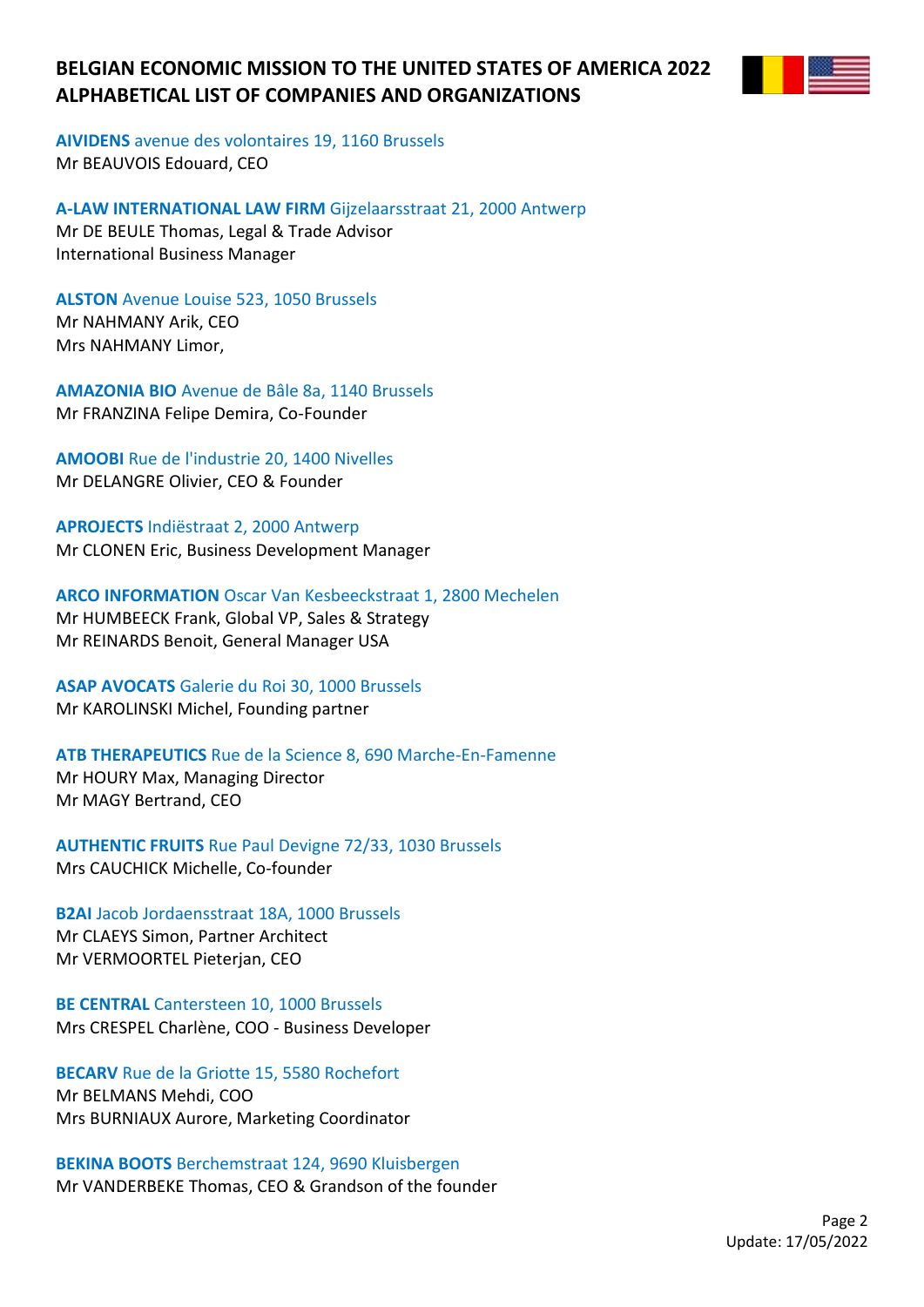**AIVIDENS** avenue des volontaires 19, 1160 Brussels Mr BEAUVOIS Edouard, CEO

**A-LAW INTERNATIONAL LAW FIRM** Gijzelaarsstraat 21, 2000 Antwerp Mr DE BEULE Thomas, Legal & Trade Advisor International Business Manager

**ALSTON** Avenue Louise 523, 1050 Brussels Mr NAHMANY Arik, CEO Mrs NAHMANY Limor,

**AMAZONIA BIO** Avenue de Bâle 8a, 1140 Brussels Mr FRANZINA Felipe Demira, Co-Founder

**AMOOBI** Rue de l'industrie 20, 1400 Nivelles Mr DELANGRE Olivier, CEO & Founder

**APROJECTS** Indiëstraat 2, 2000 Antwerp Mr CLONEN Eric, Business Development Manager

**ARCO INFORMATION** Oscar Van Kesbeeckstraat 1, 2800 Mechelen Mr HUMBEECK Frank, Global VP, Sales & Strategy Mr REINARDS Benoit, General Manager USA

**ASAP AVOCATS** Galerie du Roi 30, 1000 Brussels Mr KAROLINSKI Michel, Founding partner

**ATB THERAPEUTICS** Rue de la Science 8, 690 Marche-En-Famenne Mr HOURY Max, Managing Director Mr MAGY Bertrand, CEO

**AUTHENTIC FRUITS** Rue Paul Devigne 72/33, 1030 Brussels Mrs CAUCHICK Michelle, Co-founder

**B2AI** Jacob Jordaensstraat 18A, 1000 Brussels Mr CLAEYS Simon, Partner Architect Mr VERMOORTEL Pieterjan, CEO

**BE CENTRAL** Cantersteen 10, 1000 Brussels Mrs CRESPEL Charlène, COO - Business Developer

**BECARV** Rue de la Griotte 15, 5580 Rochefort Mr BELMANS Mehdi, COO Mrs BURNIAUX Aurore, Marketing Coordinator

**BEKINA BOOTS** Berchemstraat 124, 9690 Kluisbergen Mr VANDERBEKE Thomas, CEO & Grandson of the founder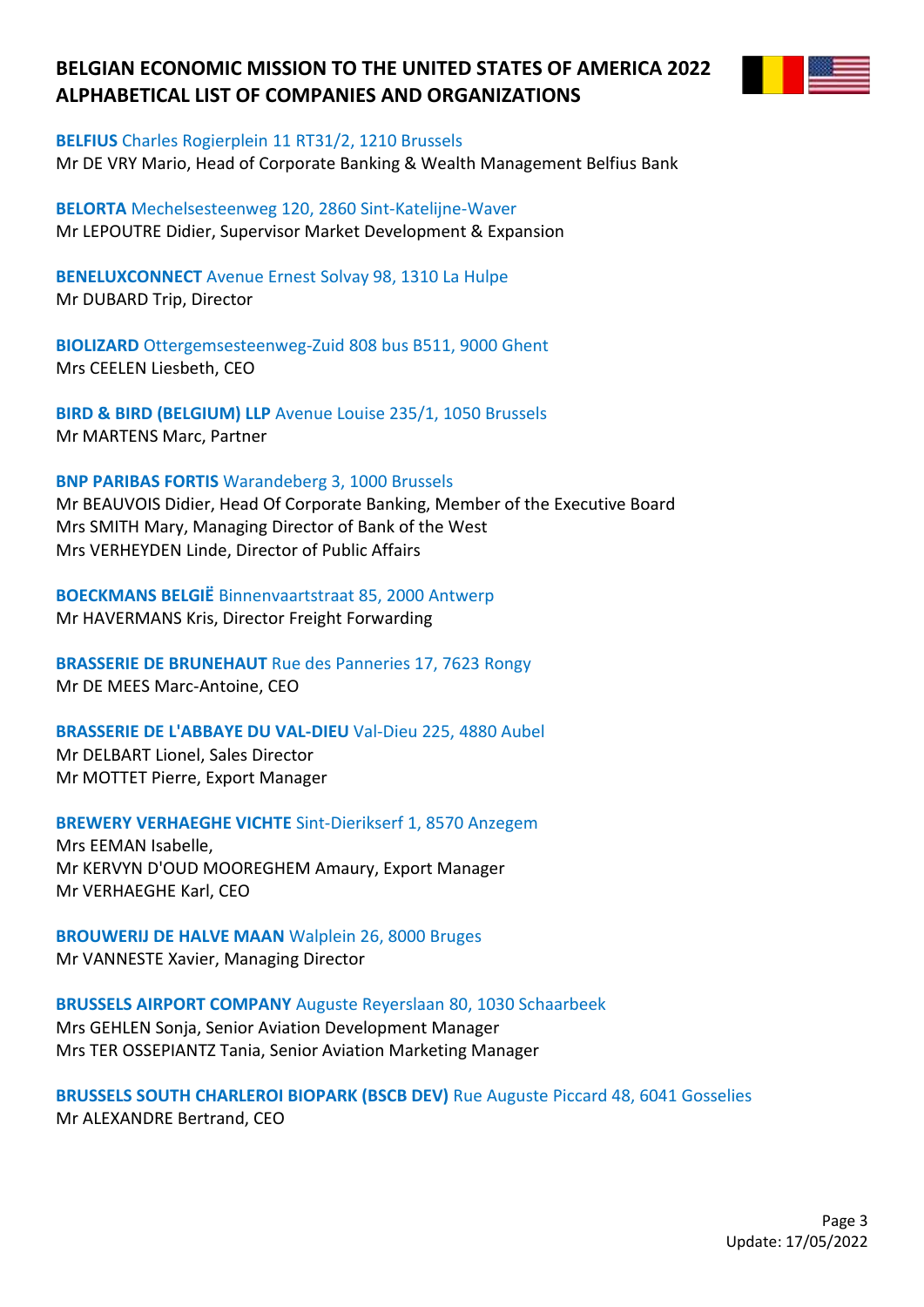

#### **BELFIUS** Charles Rogierplein 11 RT31/2, 1210 Brussels

Mr DE VRY Mario, Head of Corporate Banking & Wealth Management Belfius Bank

**BELORTA** Mechelsesteenweg 120, 2860 Sint-Katelijne-Waver Mr LEPOUTRE Didier, Supervisor Market Development & Expansion

**BENELUXCONNECT** Avenue Ernest Solvay 98, 1310 La Hulpe Mr DUBARD Trip, Director

**BIOLIZARD** Ottergemsesteenweg-Zuid 808 bus B511, 9000 Ghent Mrs CEELEN Liesbeth, CEO

**BIRD & BIRD (BELGIUM) LLP** Avenue Louise 235/1, 1050 Brussels Mr MARTENS Marc, Partner

#### **BNP PARIBAS FORTIS** Warandeberg 3, 1000 Brussels

Mr BEAUVOIS Didier, Head Of Corporate Banking, Member of the Executive Board Mrs SMITH Mary, Managing Director of Bank of the West Mrs VERHEYDEN Linde, Director of Public Affairs

**BOECKMANS BELGIË** Binnenvaartstraat 85, 2000 Antwerp Mr HAVERMANS Kris, Director Freight Forwarding

**BRASSERIE DE BRUNEHAUT** Rue des Panneries 17, 7623 Rongy Mr DE MEES Marc-Antoine, CEO

#### **BRASSERIE DE L'ABBAYE DU VAL-DIEU** Val-Dieu 225, 4880 Aubel

Mr DELBART Lionel, Sales Director Mr MOTTET Pierre, Export Manager

### **BREWERY VERHAEGHE VICHTE** Sint-Dierikserf 1, 8570 Anzegem

Mrs EEMAN Isabelle, Mr KERVYN D'OUD MOOREGHEM Amaury, Export Manager Mr VERHAEGHE Karl, CEO

**BROUWERIJ DE HALVE MAAN** Walplein 26, 8000 Bruges Mr VANNESTE Xavier, Managing Director

#### **BRUSSELS AIRPORT COMPANY** Auguste Reyerslaan 80, 1030 Schaarbeek

Mrs GEHLEN Sonja, Senior Aviation Development Manager Mrs TER OSSEPIANTZ Tania, Senior Aviation Marketing Manager

### **BRUSSELS SOUTH CHARLEROI BIOPARK (BSCB DEV)** Rue Auguste Piccard 48, 6041 Gosselies Mr ALEXANDRE Bertrand, CEO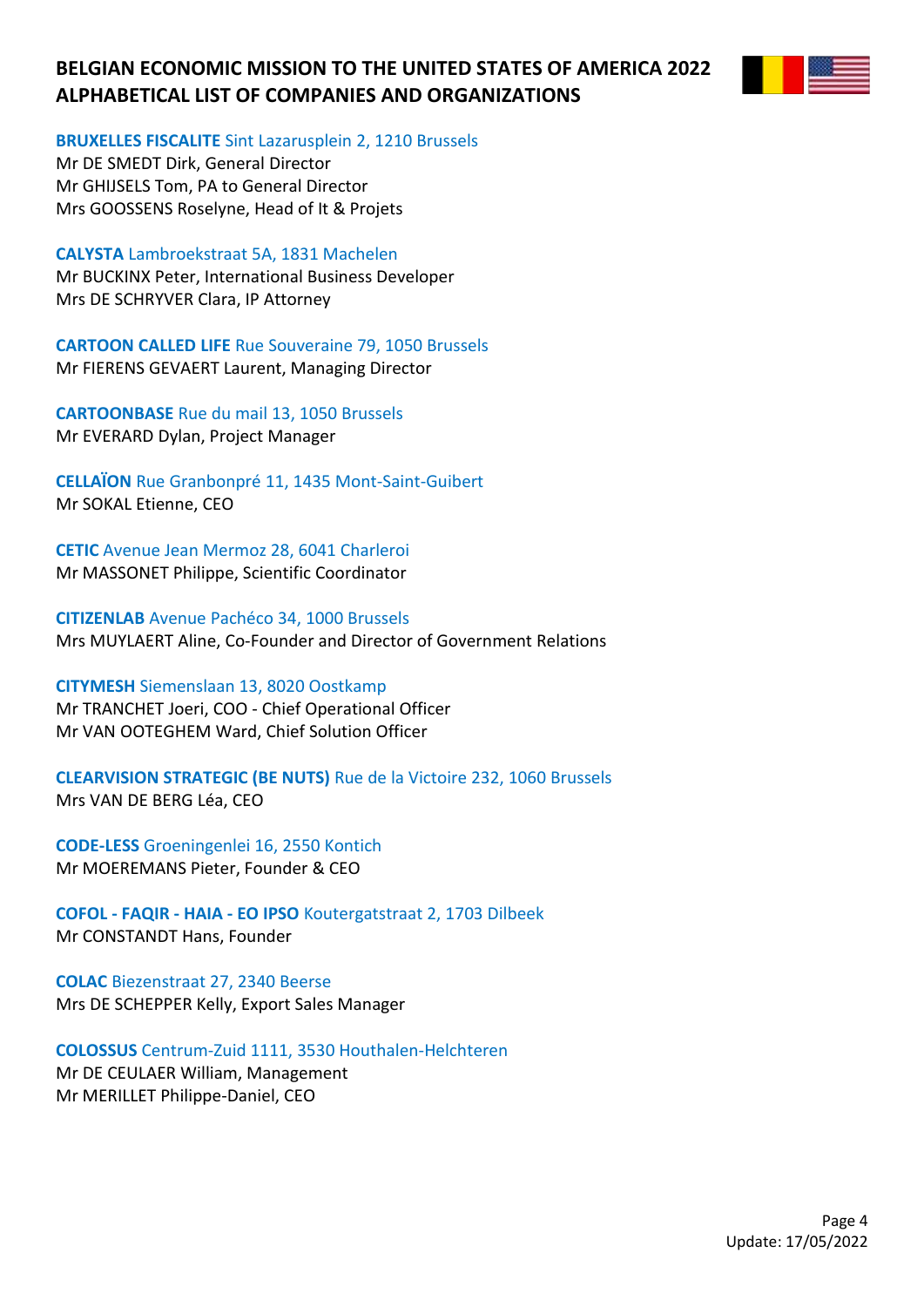

**BRUXELLES FISCALITE** Sint Lazarusplein 2, 1210 Brussels

Mr DE SMEDT Dirk, General Director Mr GHIJSELS Tom, PA to General Director Mrs GOOSSENS Roselyne, Head of It & Projets

**CALYSTA** Lambroekstraat 5A, 1831 Machelen

Mr BUCKINX Peter, International Business Developer Mrs DE SCHRYVER Clara, IP Attorney

**CARTOON CALLED LIFE** Rue Souveraine 79, 1050 Brussels Mr FIERENS GEVAERT Laurent, Managing Director

**CARTOONBASE** Rue du mail 13, 1050 Brussels Mr EVERARD Dylan, Project Manager

**CELLAÏON** Rue Granbonpré 11, 1435 Mont-Saint-Guibert Mr SOKAL Etienne, CEO

**CETIC** Avenue Jean Mermoz 28, 6041 Charleroi Mr MASSONET Philippe, Scientific Coordinator

**CITIZENLAB** Avenue Pachéco 34, 1000 Brussels Mrs MUYLAERT Aline, Co-Founder and Director of Government Relations

**CITYMESH** Siemenslaan 13, 8020 Oostkamp Mr TRANCHET Joeri, COO - Chief Operational Officer Mr VAN OOTEGHEM Ward, Chief Solution Officer

**CLEARVISION STRATEGIC (BE NUTS)** Rue de la Victoire 232, 1060 Brussels Mrs VAN DE BERG Léa, CEO

**CODE-LESS** Groeningenlei 16, 2550 Kontich Mr MOEREMANS Pieter, Founder & CEO

**COFOL - FAQIR - HAIA - EO IPSO** Koutergatstraat 2, 1703 Dilbeek Mr CONSTANDT Hans, Founder

**COLAC** Biezenstraat 27, 2340 Beerse Mrs DE SCHEPPER Kelly, Export Sales Manager

**COLOSSUS** Centrum-Zuid 1111, 3530 Houthalen-Helchteren Mr DE CEULAER William, Management Mr MERILLET Philippe-Daniel, CEO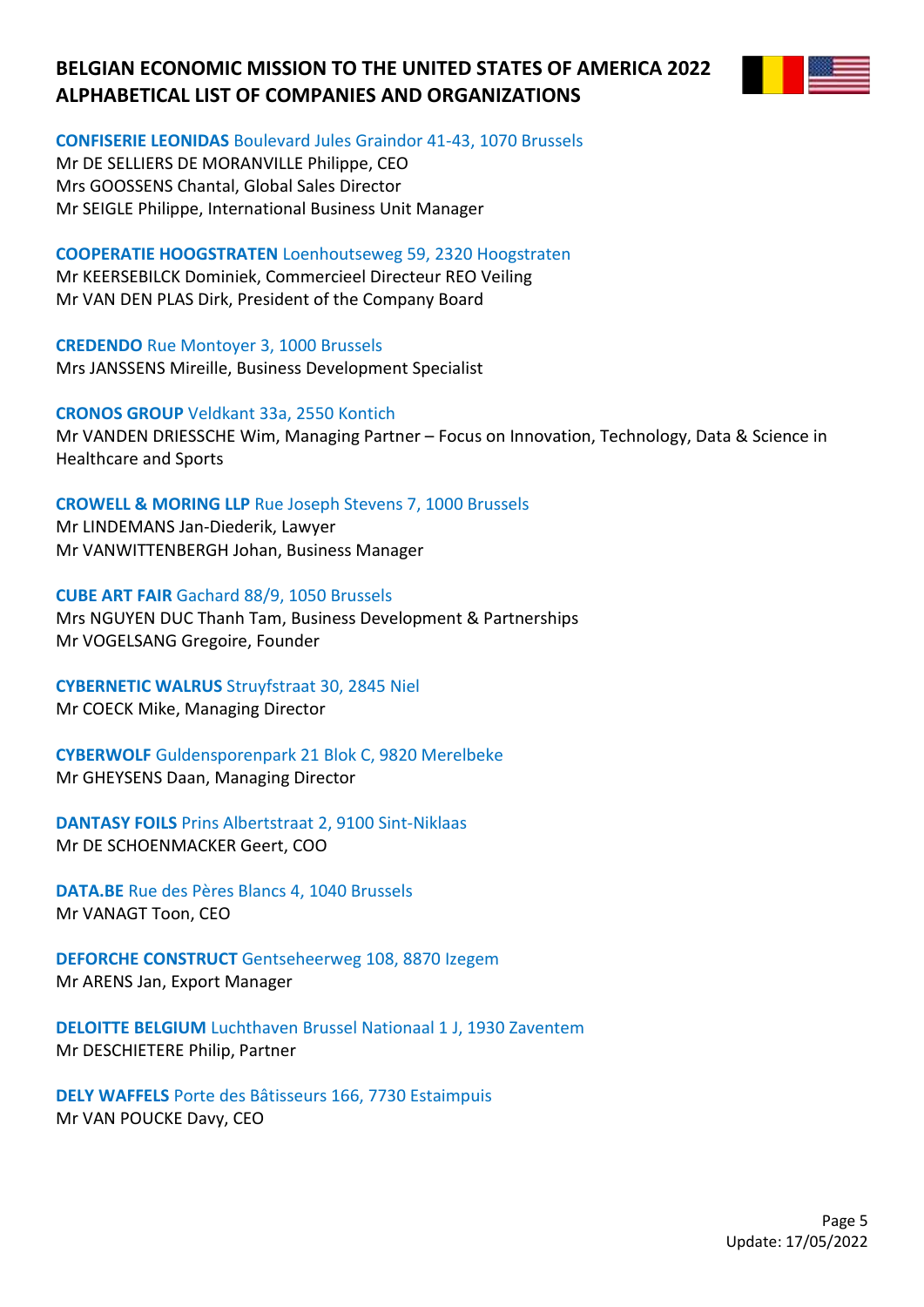

### **CONFISERIE LEONIDAS** Boulevard Jules Graindor 41-43, 1070 Brussels

Mr DE SELLIERS DE MORANVILLE Philippe, CEO Mrs GOOSSENS Chantal, Global Sales Director Mr SEIGLE Philippe, International Business Unit Manager

**COOPERATIE HOOGSTRATEN** Loenhoutseweg 59, 2320 Hoogstraten Mr KEERSEBILCK Dominiek, Commercieel Directeur REO Veiling Mr VAN DEN PLAS Dirk, President of the Company Board

**CREDENDO** Rue Montoyer 3, 1000 Brussels Mrs JANSSENS Mireille, Business Development Specialist

### **CRONOS GROUP** Veldkant 33a, 2550 Kontich

Mr VANDEN DRIESSCHE Wim, Managing Partner – Focus on Innovation, Technology, Data & Science in Healthcare and Sports

### **CROWELL & MORING LLP** Rue Joseph Stevens 7, 1000 Brussels

Mr LINDEMANS Jan-Diederik, Lawyer Mr VANWITTENBERGH Johan, Business Manager

**CUBE ART FAIR** Gachard 88/9, 1050 Brussels Mrs NGUYEN DUC Thanh Tam, Business Development & Partnerships Mr VOGELSANG Gregoire, Founder

# **CYBERNETIC WALRUS** Struyfstraat 30, 2845 Niel

Mr COECK Mike, Managing Director

**CYBERWOLF** Guldensporenpark 21 Blok C, 9820 Merelbeke Mr GHEYSENS Daan, Managing Director

**DANTASY FOILS** Prins Albertstraat 2, 9100 Sint-Niklaas Mr DE SCHOENMACKER Geert, COO

**DATA.BE** Rue des Pères Blancs 4, 1040 Brussels Mr VANAGT Toon, CEO

**DEFORCHE CONSTRUCT** Gentseheerweg 108, 8870 Izegem Mr ARENS Jan, Export Manager

**DELOITTE BELGIUM** Luchthaven Brussel Nationaal 1 J, 1930 Zaventem Mr DESCHIETERE Philip, Partner

**DELY WAFFELS** Porte des Bâtisseurs 166, 7730 Estaimpuis Mr VAN POUCKE Davy, CEO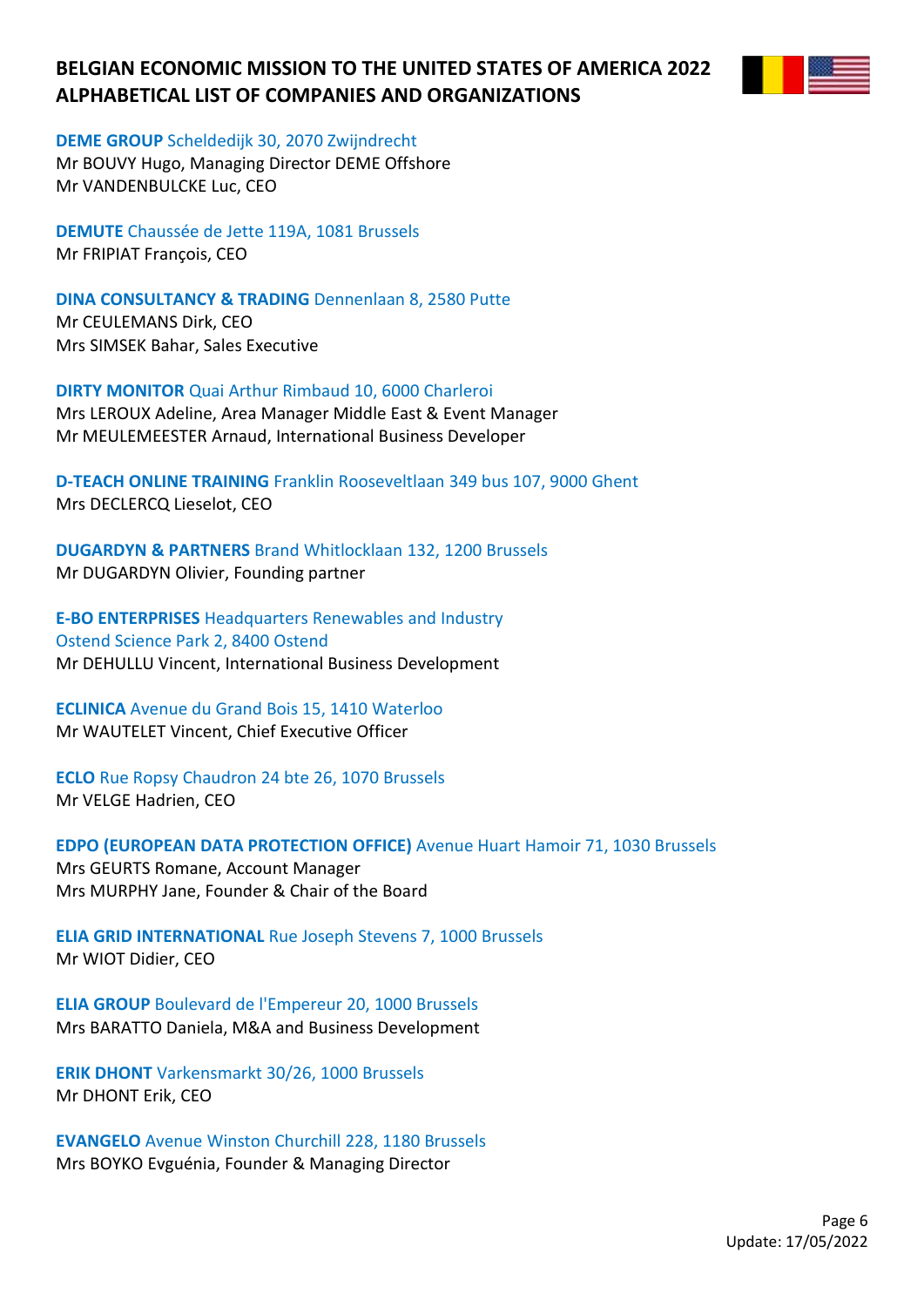

### **DEME GROUP** Scheldedijk 30, 2070 Zwijndrecht

Mr BOUVY Hugo, Managing Director DEME Offshore Mr VANDENBULCKE Luc, CEO

**DEMUTE** Chaussée de Jette 119A, 1081 Brussels Mr FRIPIAT François, CEO

**DINA CONSULTANCY & TRADING** Dennenlaan 8, 2580 Putte Mr CEULEMANS Dirk, CEO Mrs SIMSEK Bahar, Sales Executive

**DIRTY MONITOR** Quai Arthur Rimbaud 10, 6000 Charleroi Mrs LEROUX Adeline, Area Manager Middle East & Event Manager Mr MEULEMEESTER Arnaud, International Business Developer

**D-TEACH ONLINE TRAINING** Franklin Rooseveltlaan 349 bus 107, 9000 Ghent Mrs DECLERCQ Lieselot, CEO

**DUGARDYN & PARTNERS** Brand Whitlocklaan 132, 1200 Brussels Mr DUGARDYN Olivier, Founding partner

**E-BO ENTERPRISES** Headquarters Renewables and Industry Ostend Science Park 2, 8400 Ostend Mr DEHULLU Vincent, International Business Development

**ECLINICA** Avenue du Grand Bois 15, 1410 Waterloo Mr WAUTELET Vincent, Chief Executive Officer

**ECLO** Rue Ropsy Chaudron 24 bte 26, 1070 Brussels Mr VELGE Hadrien, CEO

**EDPO (EUROPEAN DATA PROTECTION OFFICE)** Avenue Huart Hamoir 71, 1030 Brussels Mrs GEURTS Romane, Account Manager Mrs MURPHY Jane, Founder & Chair of the Board

**ELIA GRID INTERNATIONAL** Rue Joseph Stevens 7, 1000 Brussels Mr WIOT Didier, CEO

**ELIA GROUP** Boulevard de l'Empereur 20, 1000 Brussels Mrs BARATTO Daniela, M&A and Business Development

**ERIK DHONT** Varkensmarkt 30/26, 1000 Brussels Mr DHONT Erik, CEO

**EVANGELO** Avenue Winston Churchill 228, 1180 Brussels Mrs BOYKO Evguénia, Founder & Managing Director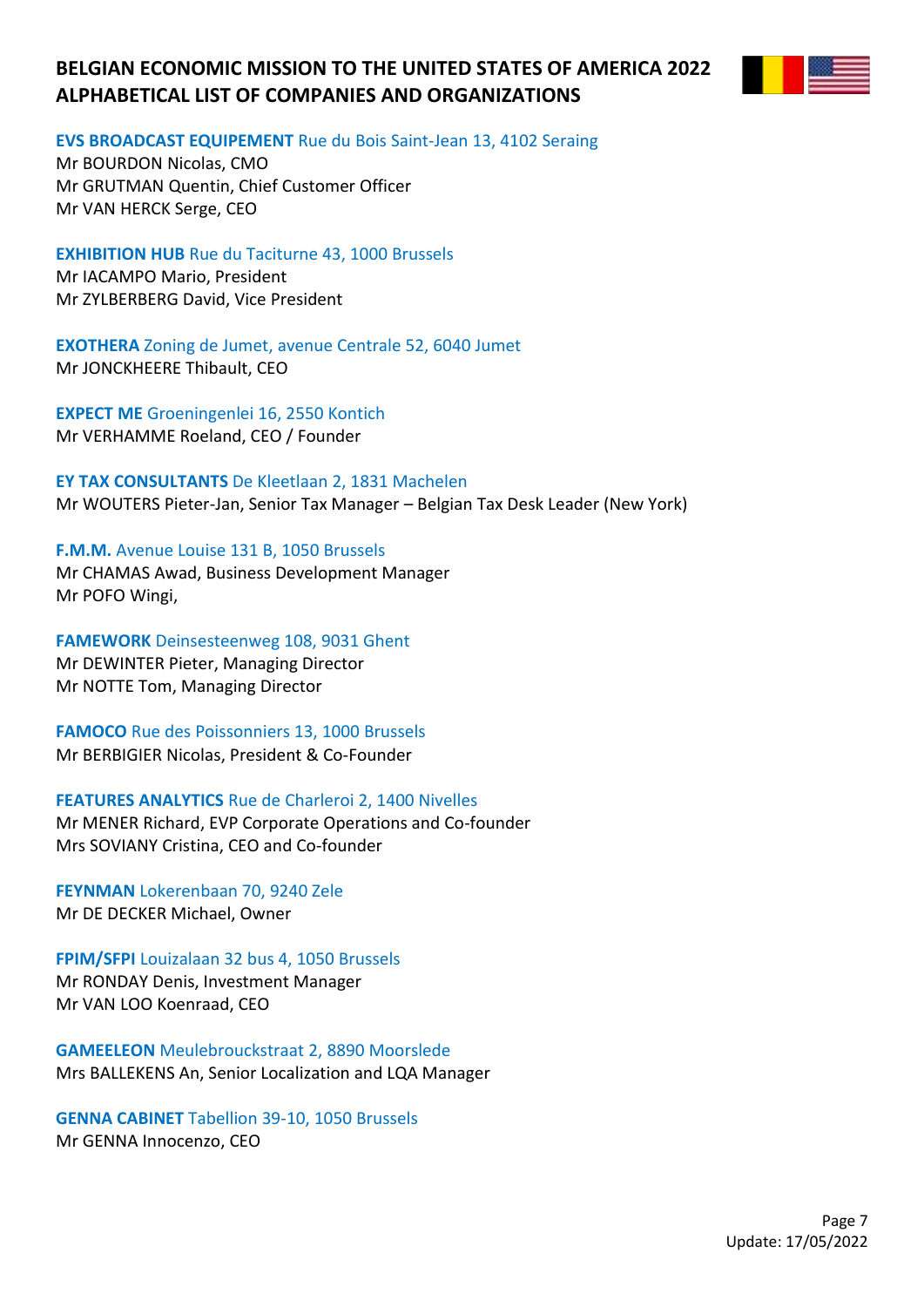

#### **EVS BROADCAST EQUIPEMENT** Rue du Bois Saint-Jean 13, 4102 Seraing

Mr BOURDON Nicolas, CMO Mr GRUTMAN Quentin, Chief Customer Officer Mr VAN HERCK Serge, CEO

**EXHIBITION HUB** Rue du Taciturne 43, 1000 Brussels Mr IACAMPO Mario, President Mr ZYLBERBERG David, Vice President

**EXOTHERA** Zoning de Jumet, avenue Centrale 52, 6040 Jumet Mr JONCKHEERE Thibault, CEO

**EXPECT ME** Groeningenlei 16, 2550 Kontich Mr VERHAMME Roeland, CEO / Founder

**EY TAX CONSULTANTS** De Kleetlaan 2, 1831 Machelen Mr WOUTERS Pieter-Jan, Senior Tax Manager – Belgian Tax Desk Leader (New York)

**F.M.M.** Avenue Louise 131 B, 1050 Brussels Mr CHAMAS Awad, Business Development Manager Mr POFO Wingi,

**FAMEWORK** Deinsesteenweg 108, 9031 Ghent Mr DEWINTER Pieter, Managing Director Mr NOTTE Tom, Managing Director

**FAMOCO** Rue des Poissonniers 13, 1000 Brussels Mr BERBIGIER Nicolas, President & Co-Founder

**FEATURES ANALYTICS** Rue de Charleroi 2, 1400 Nivelles Mr MENER Richard, EVP Corporate Operations and Co-founder Mrs SOVIANY Cristina, CEO and Co-founder

**FEYNMAN** Lokerenbaan 70, 9240 Zele Mr DE DECKER Michael, Owner

**FPIM/SFPI** Louizalaan 32 bus 4, 1050 Brussels Mr RONDAY Denis, Investment Manager Mr VAN LOO Koenraad, CEO

**GAMEELEON** Meulebrouckstraat 2, 8890 Moorslede Mrs BALLEKENS An, Senior Localization and LQA Manager

**GENNA CABINET** Tabellion 39-10, 1050 Brussels Mr GENNA Innocenzo, CEO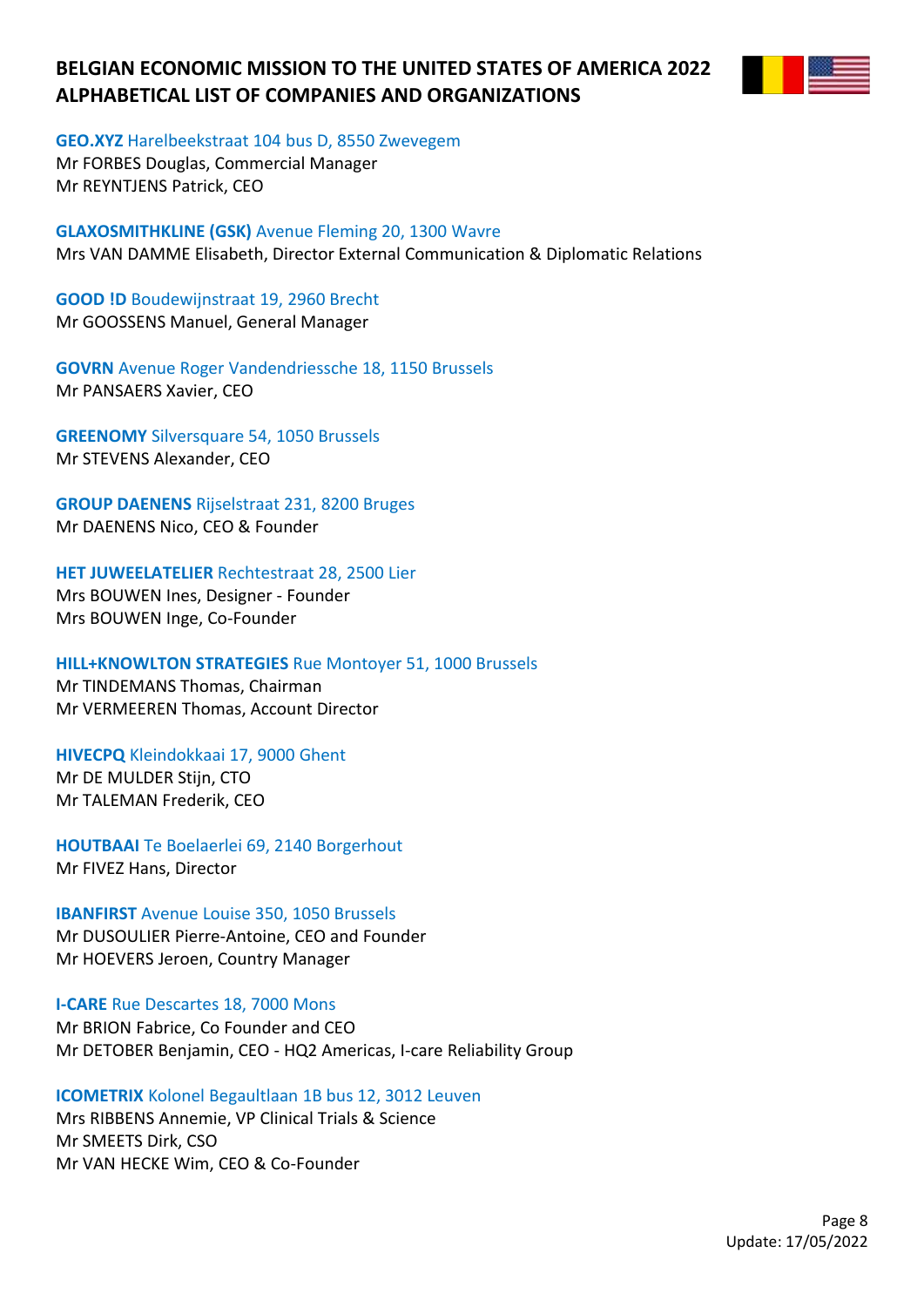

**GEO.XYZ** Harelbeekstraat 104 bus D, 8550 Zwevegem

Mr FORBES Douglas, Commercial Manager Mr REYNTJENS Patrick, CEO

**GLAXOSMITHKLINE (GSK)** Avenue Fleming 20, 1300 Wavre Mrs VAN DAMME Elisabeth, Director External Communication & Diplomatic Relations

**GOOD !D** Boudewijnstraat 19, 2960 Brecht Mr GOOSSENS Manuel, General Manager

**GOVRN** Avenue Roger Vandendriessche 18, 1150 Brussels Mr PANSAERS Xavier, CEO

**GREENOMY** Silversquare 54, 1050 Brussels Mr STEVENS Alexander, CEO

**GROUP DAENENS** Rijselstraat 231, 8200 Bruges Mr DAENENS Nico, CEO & Founder

### **HET JUWEELATELIER** Rechtestraat 28, 2500 Lier

Mrs BOUWEN Ines, Designer - Founder Mrs BOUWEN Inge, Co-Founder

### **HILL+KNOWLTON STRATEGIES** Rue Montoyer 51, 1000 Brussels

Mr TINDEMANS Thomas, Chairman Mr VERMEEREN Thomas, Account Director

**HIVECPQ** Kleindokkaai 17, 9000 Ghent Mr DE MULDER Stijn, CTO Mr TALEMAN Frederik, CEO

**HOUTBAAI** Te Boelaerlei 69, 2140 Borgerhout Mr FIVEZ Hans, Director

**IBANFIRST** Avenue Louise 350, 1050 Brussels Mr DUSOULIER Pierre-Antoine, CEO and Founder Mr HOEVERS Jeroen, Country Manager

**I-CARE** Rue Descartes 18, 7000 Mons

Mr BRION Fabrice, Co Founder and CEO Mr DETOBER Benjamin, CEO - HQ2 Americas, I-care Reliability Group

**ICOMETRIX** Kolonel Begaultlaan 1B bus 12, 3012 Leuven

Mrs RIBBENS Annemie, VP Clinical Trials & Science Mr SMEETS Dirk, CSO Mr VAN HECKE Wim, CEO & Co-Founder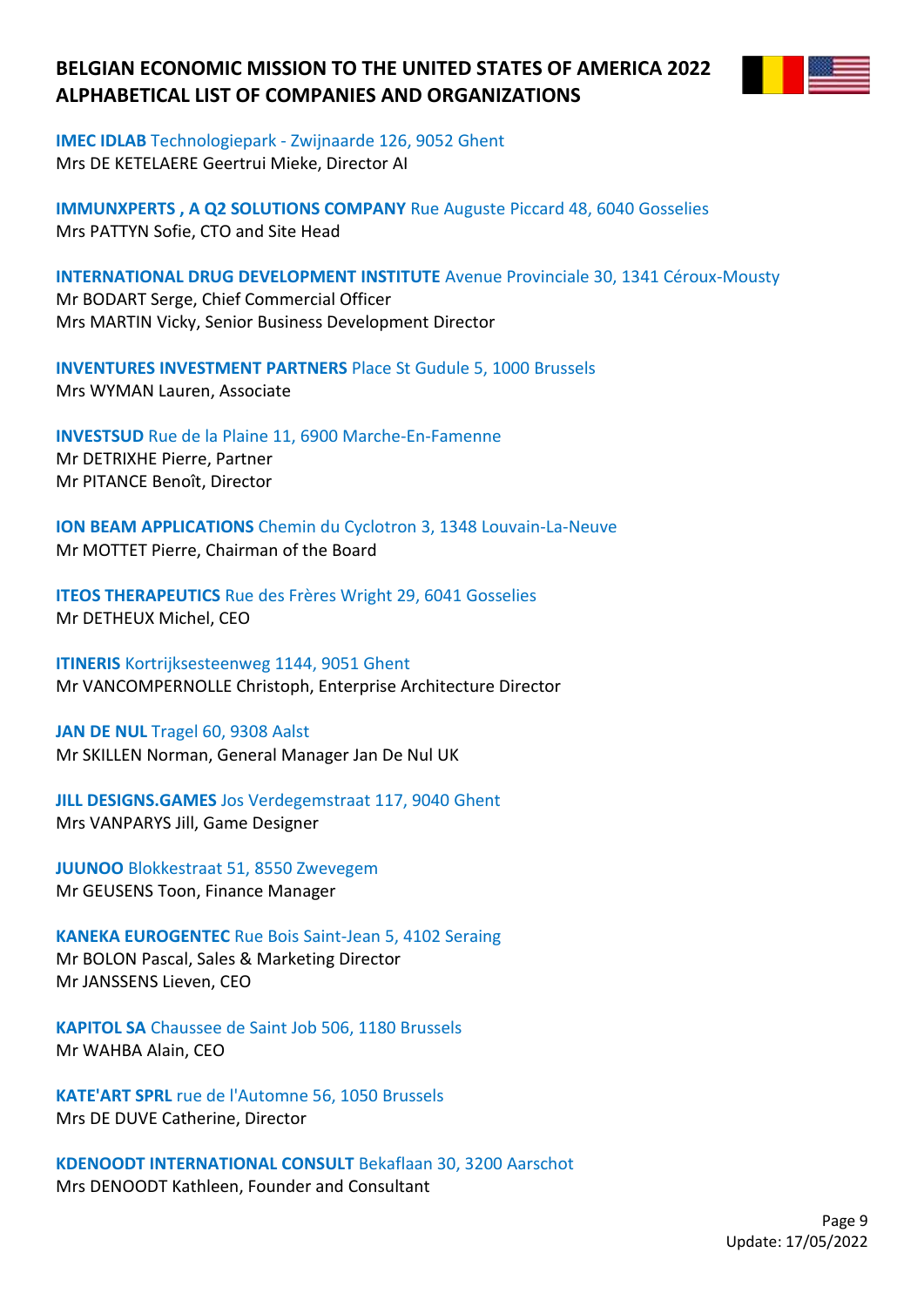

**IMEC IDLAB** Technologiepark - Zwijnaarde 126, 9052 Ghent Mrs DE KETELAERE Geertrui Mieke, Director AI

**IMMUNXPERTS , A Q2 SOLUTIONS COMPANY** Rue Auguste Piccard 48, 6040 Gosselies Mrs PATTYN Sofie, CTO and Site Head

**INTERNATIONAL DRUG DEVELOPMENT INSTITUTE** Avenue Provinciale 30, 1341 Céroux-Mousty Mr BODART Serge, Chief Commercial Officer Mrs MARTIN Vicky, Senior Business Development Director

**INVENTURES INVESTMENT PARTNERS** Place St Gudule 5, 1000 Brussels Mrs WYMAN Lauren, Associate

**INVESTSUD** Rue de la Plaine 11, 6900 Marche-En-Famenne Mr DETRIXHE Pierre, Partner Mr PITANCE Benoît, Director

**ION BEAM APPLICATIONS** Chemin du Cyclotron 3, 1348 Louvain-La-Neuve Mr MOTTET Pierre, Chairman of the Board

**ITEOS THERAPEUTICS** Rue des Frères Wright 29, 6041 Gosselies Mr DETHEUX Michel, CEO

**ITINERIS** Kortrijksesteenweg 1144, 9051 Ghent Mr VANCOMPERNOLLE Christoph, Enterprise Architecture Director

**JAN DE NUL** Tragel 60, 9308 Aalst Mr SKILLEN Norman, General Manager Jan De Nul UK

**JILL DESIGNS.GAMES** Jos Verdegemstraat 117, 9040 Ghent Mrs VANPARYS Jill, Game Designer

**JUUNOO** Blokkestraat 51, 8550 Zwevegem Mr GEUSENS Toon, Finance Manager

**KANEKA EUROGENTEC** Rue Bois Saint-Jean 5, 4102 Seraing Mr BOLON Pascal, Sales & Marketing Director Mr JANSSENS Lieven, CEO

**KAPITOL SA** Chaussee de Saint Job 506, 1180 Brussels Mr WAHBA Alain, CEO

**KATE'ART SPRL** rue de l'Automne 56, 1050 Brussels Mrs DE DUVE Catherine, Director

**KDENOODT INTERNATIONAL CONSULT** Bekaflaan 30, 3200 Aarschot Mrs DENOODT Kathleen, Founder and Consultant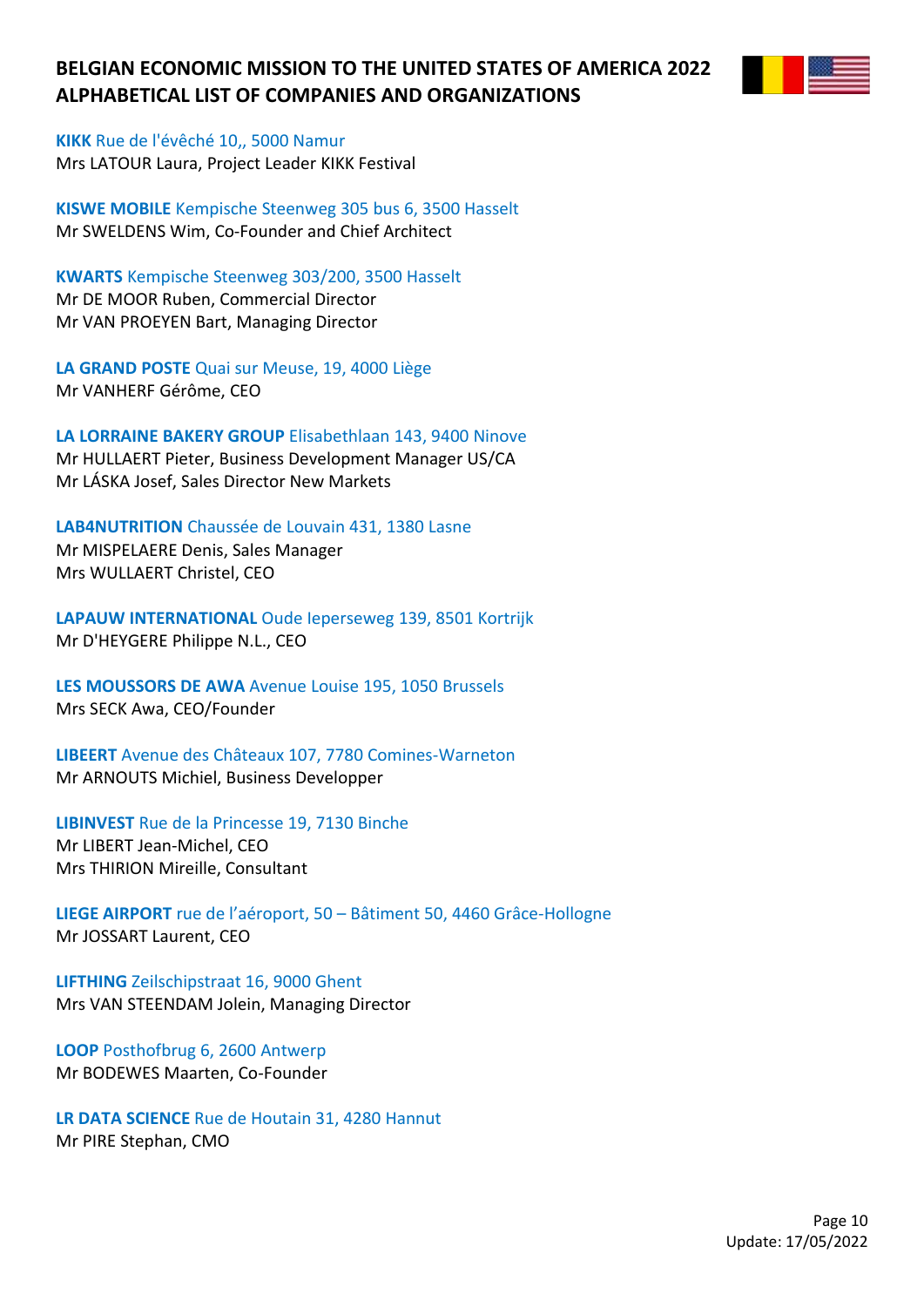

**KIKK** Rue de l'évêché 10,, 5000 Namur Mrs LATOUR Laura, Project Leader KIKK Festival

**KISWE MOBILE** Kempische Steenweg 305 bus 6, 3500 Hasselt Mr SWELDENS Wim, Co-Founder and Chief Architect

**KWARTS** Kempische Steenweg 303/200, 3500 Hasselt Mr DE MOOR Ruben, Commercial Director Mr VAN PROEYEN Bart, Managing Director

**LA GRAND POSTE** Quai sur Meuse, 19, 4000 Liège Mr VANHERF Gérôme, CEO

**LA LORRAINE BAKERY GROUP** Elisabethlaan 143, 9400 Ninove Mr HULLAERT Pieter, Business Development Manager US/CA Mr LÁSKA Josef, Sales Director New Markets

**LAB4NUTRITION** Chaussée de Louvain 431, 1380 Lasne Mr MISPELAERE Denis, Sales Manager Mrs WULLAERT Christel, CEO

**LAPAUW INTERNATIONAL** Oude Ieperseweg 139, 8501 Kortrijk Mr D'HEYGERE Philippe N.L., CEO

**LES MOUSSORS DE AWA** Avenue Louise 195, 1050 Brussels Mrs SECK Awa, CEO/Founder

**LIBEERT** Avenue des Châteaux 107, 7780 Comines-Warneton Mr ARNOUTS Michiel, Business Developper

**LIBINVEST** Rue de la Princesse 19, 7130 Binche

Mr LIBERT Jean-Michel, CEO Mrs THIRION Mireille, Consultant

**LIEGE AIRPORT** rue de l'aéroport, 50 – Bâtiment 50, 4460 Grâce-Hollogne Mr JOSSART Laurent, CEO

**LIFTHING** Zeilschipstraat 16, 9000 Ghent Mrs VAN STEENDAM Jolein, Managing Director

**LOOP** Posthofbrug 6, 2600 Antwerp Mr BODEWES Maarten, Co-Founder

**LR DATA SCIENCE** Rue de Houtain 31, 4280 Hannut Mr PIRE Stephan, CMO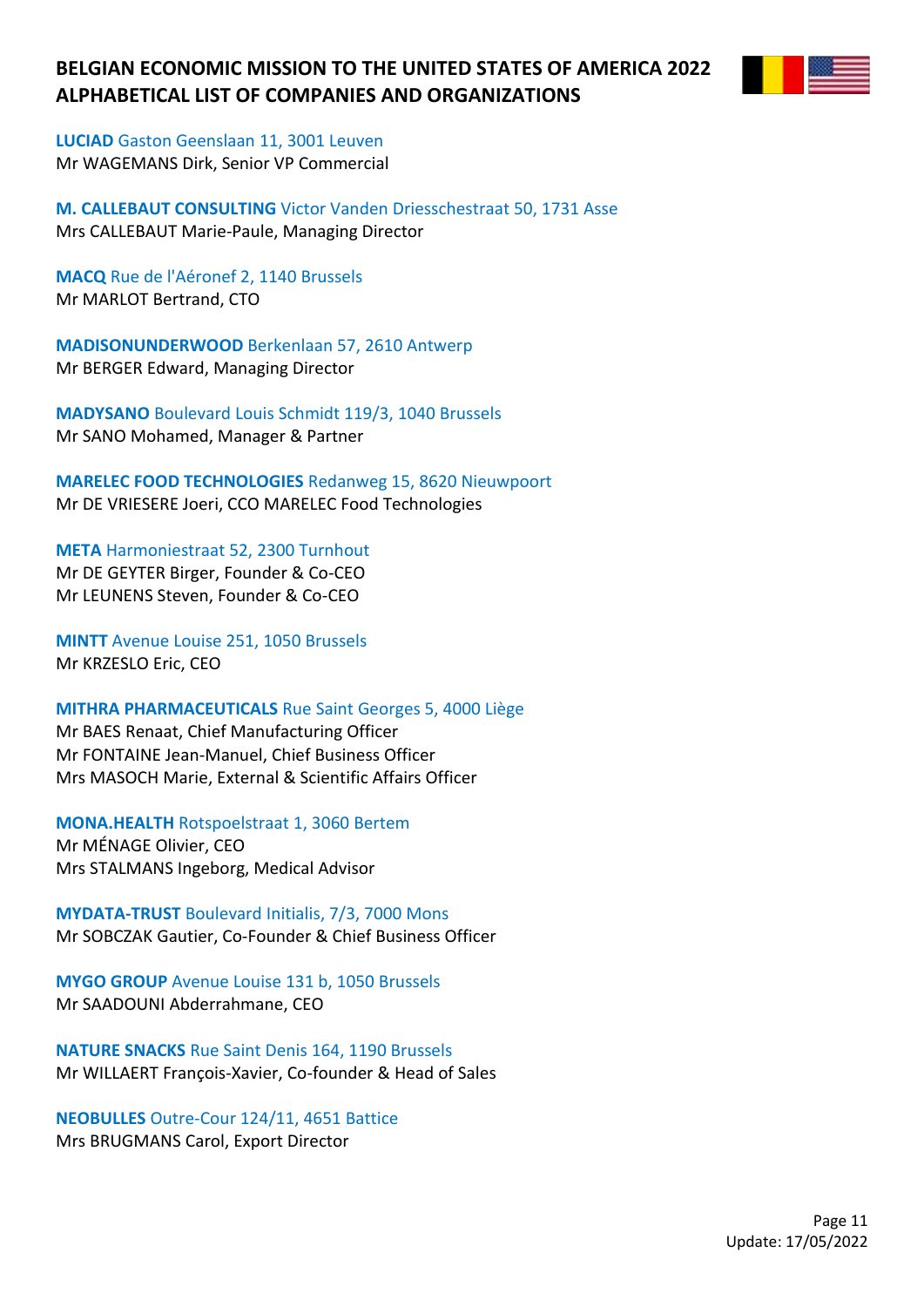

**LUCIAD** Gaston Geenslaan 11, 3001 Leuven Mr WAGEMANS Dirk, Senior VP Commercial

**M. CALLEBAUT CONSULTING** Victor Vanden Driesschestraat 50, 1731 Asse Mrs CALLEBAUT Marie-Paule, Managing Director

**MACQ** Rue de l'Aéronef 2, 1140 Brussels Mr MARLOT Bertrand, CTO

**MADISONUNDERWOOD** Berkenlaan 57, 2610 Antwerp Mr BERGER Edward, Managing Director

**MADYSANO** Boulevard Louis Schmidt 119/3, 1040 Brussels Mr SANO Mohamed, Manager & Partner

**MARELEC FOOD TECHNOLOGIES** Redanweg 15, 8620 Nieuwpoort Mr DE VRIESERE Joeri, CCO MARELEC Food Technologies

**META** Harmoniestraat 52, 2300 Turnhout Mr DE GEYTER Birger, Founder & Co-CEO Mr LEUNENS Steven, Founder & Co-CEO

**MINTT** Avenue Louise 251, 1050 Brussels Mr KRZESLO Eric, CEO

**MITHRA PHARMACEUTICALS** Rue Saint Georges 5, 4000 Liège

Mr BAES Renaat, Chief Manufacturing Officer Mr FONTAINE Jean-Manuel, Chief Business Officer Mrs MASOCH Marie, External & Scientific Affairs Officer

**MONA.HEALTH** Rotspoelstraat 1, 3060 Bertem

Mr MÉNAGE Olivier, CEO Mrs STALMANS Ingeborg, Medical Advisor

**MYDATA-TRUST** Boulevard Initialis, 7/3, 7000 Mons Mr SOBCZAK Gautier, Co-Founder & Chief Business Officer

**MYGO GROUP** Avenue Louise 131 b, 1050 Brussels Mr SAADOUNI Abderrahmane, CEO

**NATURE SNACKS** Rue Saint Denis 164, 1190 Brussels Mr WILLAERT François-Xavier, Co-founder & Head of Sales

**NEOBULLES** Outre-Cour 124/11, 4651 Battice Mrs BRUGMANS Carol, Export Director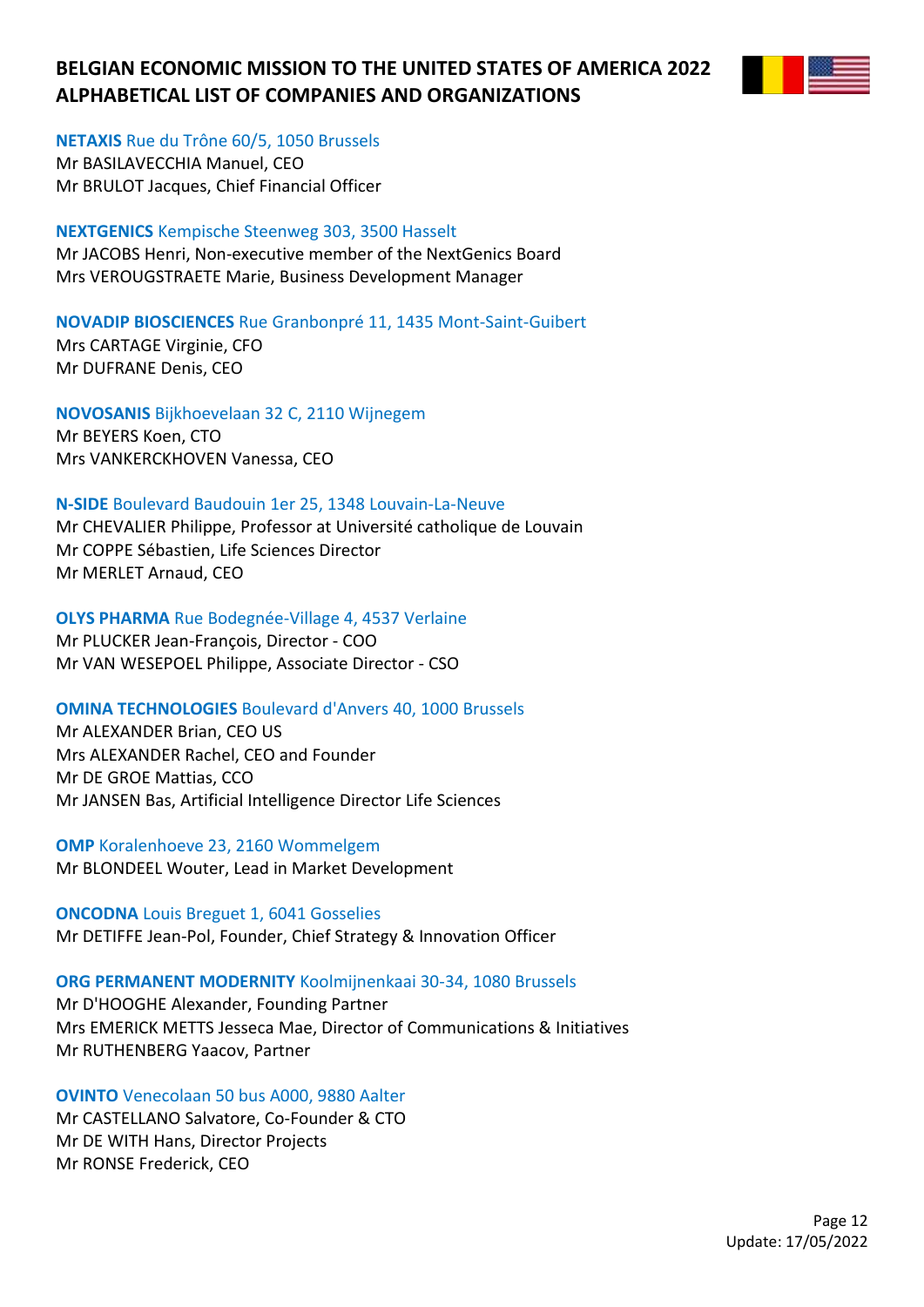

**NETAXIS** Rue du Trône 60/5, 1050 Brussels

Mr BASILAVECCHIA Manuel, CEO Mr BRULOT Jacques, Chief Financial Officer

### **NEXTGENICS** Kempische Steenweg 303, 3500 Hasselt

Mr JACOBS Henri, Non-executive member of the NextGenics Board Mrs VEROUGSTRAETE Marie, Business Development Manager

### **NOVADIP BIOSCIENCES** Rue Granbonpré 11, 1435 Mont-Saint-Guibert

Mrs CARTAGE Virginie, CFO Mr DUFRANE Denis, CEO

### **NOVOSANIS** Bijkhoevelaan 32 C, 2110 Wijnegem

Mr BEYERS Koen, CTO Mrs VANKERCKHOVEN Vanessa, CEO

### **N-SIDE** Boulevard Baudouin 1er 25, 1348 Louvain-La-Neuve

Mr CHEVALIER Philippe, Professor at Université catholique de Louvain Mr COPPE Sébastien, Life Sciences Director Mr MERLET Arnaud, CEO

### **OLYS PHARMA** Rue Bodegnée-Village 4, 4537 Verlaine

Mr PLUCKER Jean-François, Director - COO Mr VAN WESEPOEL Philippe, Associate Director - CSO

### **OMINA TECHNOLOGIES** Boulevard d'Anvers 40, 1000 Brussels

Mr ALEXANDER Brian, CEO US Mrs ALEXANDER Rachel, CEO and Founder Mr DE GROE Mattias, CCO Mr JANSEN Bas, Artificial Intelligence Director Life Sciences

**OMP** Koralenhoeve 23, 2160 Wommelgem Mr BLONDEEL Wouter, Lead in Market Development

## **ONCODNA** Louis Breguet 1, 6041 Gosselies Mr DETIFFE Jean-Pol, Founder, Chief Strategy & Innovation Officer

## **ORG PERMANENT MODERNITY** Koolmijnenkaai 30-34, 1080 Brussels

Mr D'HOOGHE Alexander, Founding Partner Mrs EMERICK METTS Jesseca Mae, Director of Communications & Initiatives Mr RUTHENBERG Yaacov, Partner

## **OVINTO** Venecolaan 50 bus A000, 9880 Aalter

Mr CASTELLANO Salvatore, Co-Founder & CTO Mr DE WITH Hans, Director Projects Mr RONSE Frederick, CEO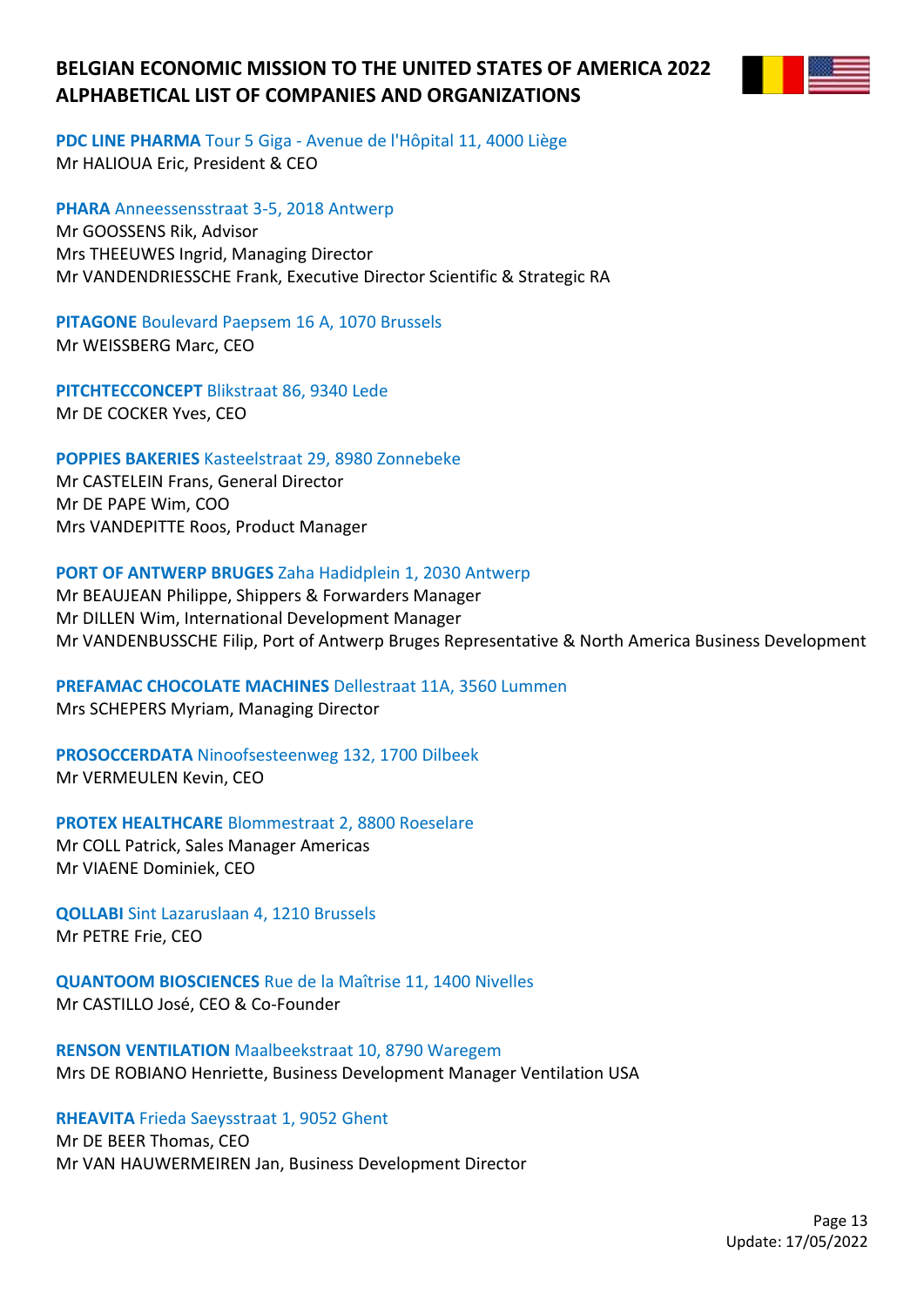

**PDC LINE PHARMA** Tour 5 Giga - Avenue de l'Hôpital 11, 4000 Liège Mr HALIOUA Eric, President & CEO

**PHARA** Anneessensstraat 3-5, 2018 Antwerp Mr GOOSSENS Rik, Advisor Mrs THEEUWES Ingrid, Managing Director Mr VANDENDRIESSCHE Frank, Executive Director Scientific & Strategic RA

**PITAGONE** Boulevard Paepsem 16 A, 1070 Brussels Mr WEISSBERG Marc, CEO

**PITCHTECCONCEPT** Blikstraat 86, 9340 Lede Mr DE COCKER Yves, CEO

**POPPIES BAKERIES** Kasteelstraat 29, 8980 Zonnebeke

Mr CASTELEIN Frans, General Director Mr DE PAPE Wim, COO Mrs VANDEPITTE Roos, Product Manager

## **PORT OF ANTWERP BRUGES** Zaha Hadidplein 1, 2030 Antwerp

Mr BEAUJEAN Philippe, Shippers & Forwarders Manager Mr DILLEN Wim, International Development Manager Mr VANDENBUSSCHE Filip, Port of Antwerp Bruges Representative & North America Business Development

# **PREFAMAC CHOCOLATE MACHINES** Dellestraat 11A, 3560 Lummen

Mrs SCHEPERS Myriam, Managing Director

**PROSOCCERDATA** Ninoofsesteenweg 132, 1700 Dilbeek Mr VERMEULEN Kevin, CEO

**PROTEX HEALTHCARE** Blommestraat 2, 8800 Roeselare

Mr COLL Patrick, Sales Manager Americas Mr VIAENE Dominiek, CEO

**QOLLABI** Sint Lazaruslaan 4, 1210 Brussels Mr PETRE Frie, CEO

**QUANTOOM BIOSCIENCES** Rue de la Maîtrise 11, 1400 Nivelles Mr CASTILLO José, CEO & Co-Founder

**RENSON VENTILATION** Maalbeekstraat 10, 8790 Waregem Mrs DE ROBIANO Henriette, Business Development Manager Ventilation USA

**RHEAVITA** Frieda Saeysstraat 1, 9052 Ghent

Mr DE BEER Thomas, CEO Mr VAN HAUWERMEIREN Jan, Business Development Director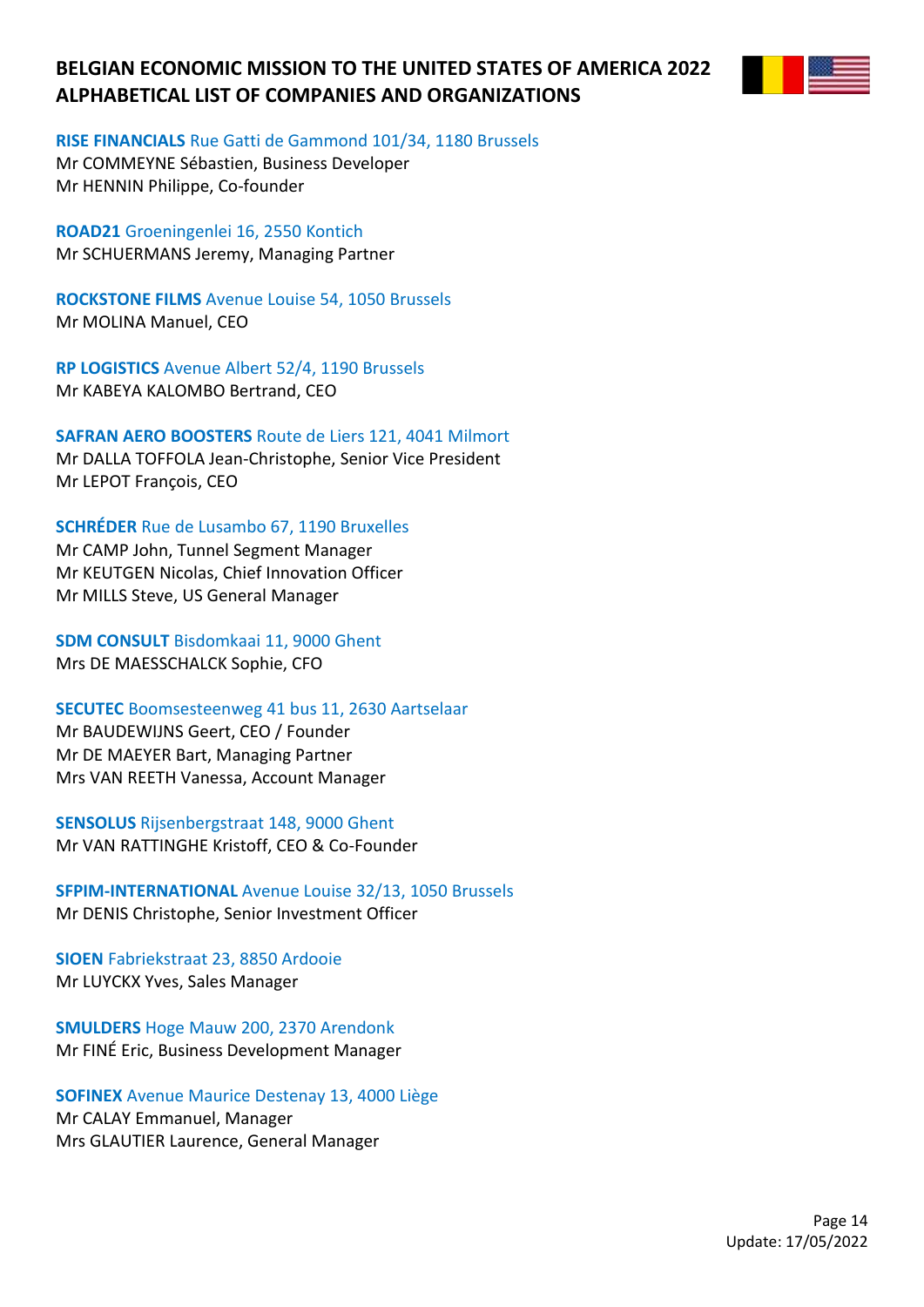

### **RISE FINANCIALS** Rue Gatti de Gammond 101/34, 1180 Brussels

Mr COMMEYNE Sébastien, Business Developer Mr HENNIN Philippe, Co-founder

**ROAD21** Groeningenlei 16, 2550 Kontich Mr SCHUERMANS Jeremy, Managing Partner

**ROCKSTONE FILMS** Avenue Louise 54, 1050 Brussels Mr MOLINA Manuel, CEO

**RP LOGISTICS** Avenue Albert 52/4, 1190 Brussels Mr KABEYA KALOMBO Bertrand, CEO

**SAFRAN AERO BOOSTERS** Route de Liers 121, 4041 Milmort Mr DALLA TOFFOLA Jean-Christophe, Senior Vice President Mr LEPOT François, CEO

**SCHRÉDER** Rue de Lusambo 67, 1190 Bruxelles

Mr CAMP John, Tunnel Segment Manager Mr KEUTGEN Nicolas, Chief Innovation Officer Mr MILLS Steve, US General Manager

**SDM CONSULT** Bisdomkaai 11, 9000 Ghent Mrs DE MAESSCHALCK Sophie, CFO

**SECUTEC** Boomsesteenweg 41 bus 11, 2630 Aartselaar

Mr BAUDEWIJNS Geert, CEO / Founder Mr DE MAEYER Bart, Managing Partner Mrs VAN REETH Vanessa, Account Manager

**SENSOLUS** Rijsenbergstraat 148, 9000 Ghent Mr VAN RATTINGHE Kristoff, CEO & Co-Founder

**SFPIM-INTERNATIONAL** Avenue Louise 32/13, 1050 Brussels Mr DENIS Christophe, Senior Investment Officer

**SIOEN** Fabriekstraat 23, 8850 Ardooie Mr LUYCKX Yves, Sales Manager

**SMULDERS** Hoge Mauw 200, 2370 Arendonk Mr FINÉ Eric, Business Development Manager

**SOFINEX** Avenue Maurice Destenay 13, 4000 Liège

Mr CALAY Emmanuel, Manager Mrs GLAUTIER Laurence, General Manager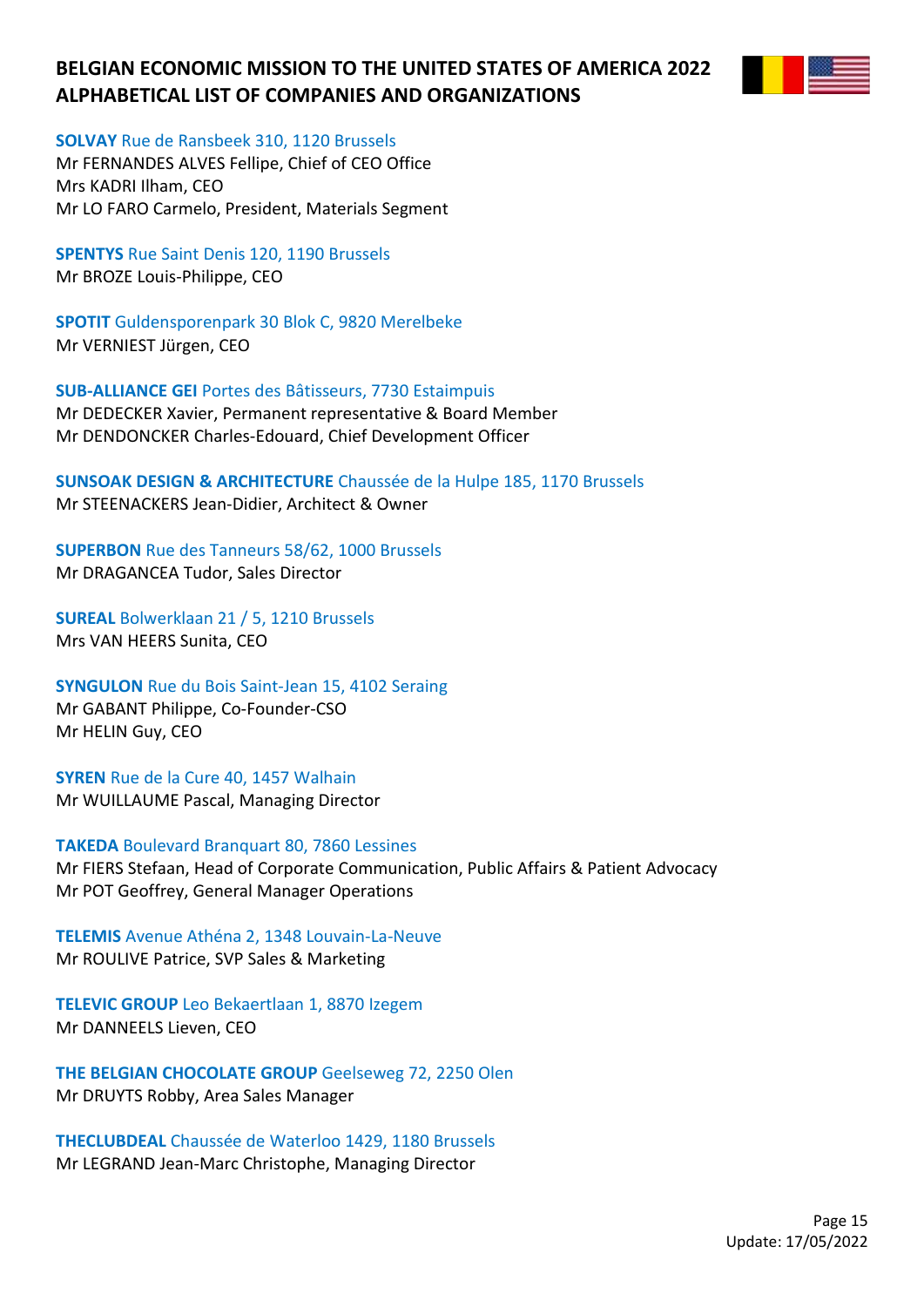

**SOLVAY** Rue de Ransbeek 310, 1120 Brussels

Mr FERNANDES ALVES Fellipe, Chief of CEO Office Mrs KADRI Ilham, CEO Mr LO FARO Carmelo, President, Materials Segment

**SPENTYS** Rue Saint Denis 120, 1190 Brussels Mr BROZE Louis-Philippe, CEO

**SPOTIT** Guldensporenpark 30 Blok C, 9820 Merelbeke Mr VERNIEST Jürgen, CEO

**SUB-ALLIANCE GEI** Portes des Bâtisseurs, 7730 Estaimpuis Mr DEDECKER Xavier, Permanent representative & Board Member Mr DENDONCKER Charles-Edouard, Chief Development Officer

**SUNSOAK DESIGN & ARCHITECTURE** Chaussée de la Hulpe 185, 1170 Brussels Mr STEENACKERS Jean-Didier, Architect & Owner

**SUPERBON** Rue des Tanneurs 58/62, 1000 Brussels Mr DRAGANCEA Tudor, Sales Director

**SUREAL** Bolwerklaan 21 / 5, 1210 Brussels Mrs VAN HEERS Sunita, CEO

**SYNGULON** Rue du Bois Saint-Jean 15, 4102 Seraing Mr GABANT Philippe, Co-Founder-CSO Mr HELIN Guy, CEO

**SYREN** Rue de la Cure 40, 1457 Walhain Mr WUILLAUME Pascal, Managing Director

**TAKEDA** Boulevard Branquart 80, 7860 Lessines Mr FIERS Stefaan, Head of Corporate Communication, Public Affairs & Patient Advocacy Mr POT Geoffrey, General Manager Operations

**TELEMIS** Avenue Athéna 2, 1348 Louvain-La-Neuve Mr ROULIVE Patrice, SVP Sales & Marketing

**TELEVIC GROUP** Leo Bekaertlaan 1, 8870 Izegem Mr DANNEELS Lieven, CEO

**THE BELGIAN CHOCOLATE GROUP** Geelseweg 72, 2250 Olen Mr DRUYTS Robby, Area Sales Manager

**THECLUBDEAL** Chaussée de Waterloo 1429, 1180 Brussels Mr LEGRAND Jean-Marc Christophe, Managing Director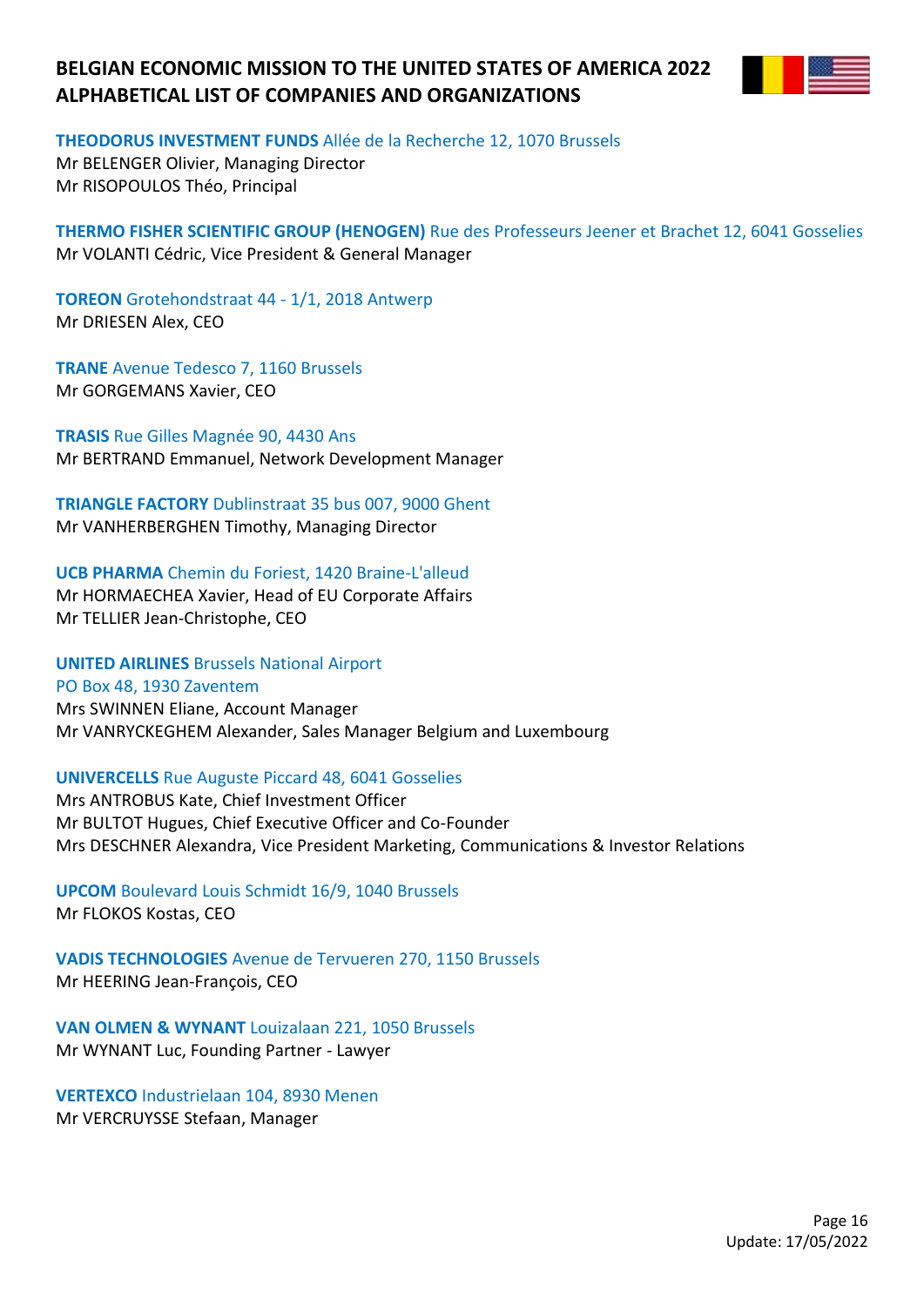

**THEODORUS INVESTMENT FUNDS** Allée de la Recherche 12, 1070 Brussels

Mr BELENGER Olivier, Managing Director Mr RISOPOULOS Théo, Principal

**THERMO FISHER SCIENTIFIC GROUP (HENOGEN)** Rue des Professeurs Jeener et Brachet 12, 6041 Gosselies Mr VOLANTI Cédric, Vice President & General Manager

**TOREON** Grotehondstraat 44 - 1/1, 2018 Antwerp Mr DRIESEN Alex, CEO

**TRANE** Avenue Tedesco 7, 1160 Brussels Mr GORGEMANS Xavier, CEO

**TRASIS** Rue Gilles Magnée 90, 4430 Ans Mr BERTRAND Emmanuel, Network Development Manager

**TRIANGLE FACTORY** Dublinstraat 35 bus 007, 9000 Ghent Mr VANHERBERGHEN Timothy, Managing Director

**UCB PHARMA** Chemin du Foriest, 1420 Braine-L'alleud

Mr HORMAECHEA Xavier, Head of EU Corporate Affairs Mr TELLIER Jean-Christophe, CEO

**UNITED AIRLINES** Brussels National Airport

PO Box 48, 1930 Zaventem Mrs SWINNEN Eliane, Account Manager Mr VANRYCKEGHEM Alexander, Sales Manager Belgium and Luxembourg

## **UNIVERCELLS** Rue Auguste Piccard 48, 6041 Gosselies

Mrs ANTROBUS Kate, Chief Investment Officer Mr BULTOT Hugues, Chief Executive Officer and Co-Founder Mrs DESCHNER Alexandra, Vice President Marketing, Communications & Investor Relations

**UPCOM** Boulevard Louis Schmidt 16/9, 1040 Brussels Mr FLOKOS Kostas, CEO

**VADIS TECHNOLOGIES** Avenue de Tervueren 270, 1150 Brussels Mr HEERING Jean-François, CEO

**VAN OLMEN & WYNANT** Louizalaan 221, 1050 Brussels Mr WYNANT Luc, Founding Partner - Lawyer

**VERTEXCO** Industrielaan 104, 8930 Menen Mr VERCRUYSSE Stefaan, Manager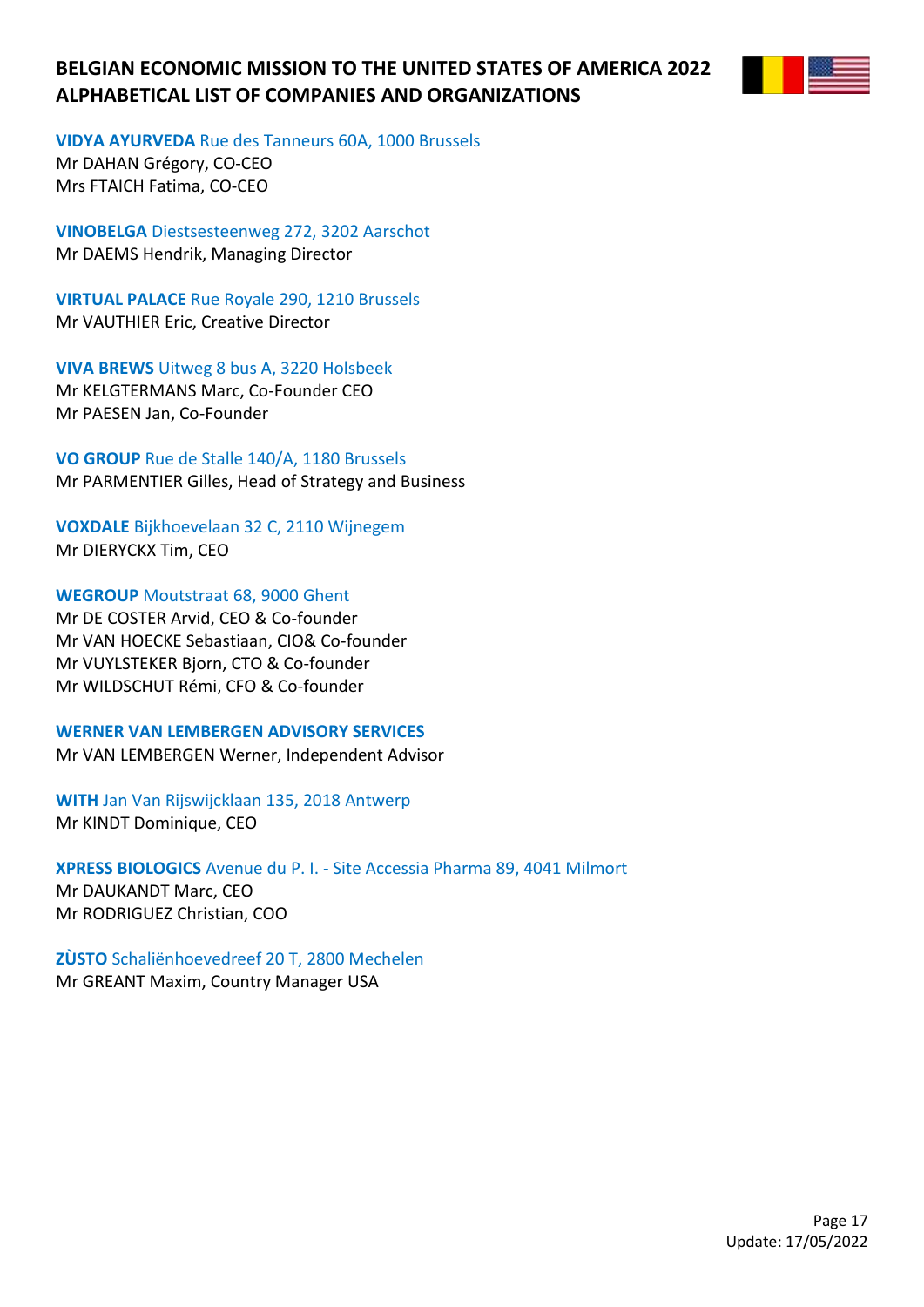

**VIDYA AYURVEDA** Rue des Tanneurs 60A, 1000 Brussels

Mr DAHAN Grégory, CO-CEO Mrs FTAICH Fatima, CO-CEO

**VINOBELGA** Diestsesteenweg 272, 3202 Aarschot Mr DAEMS Hendrik, Managing Director

**VIRTUAL PALACE** Rue Royale 290, 1210 Brussels Mr VAUTHIER Eric, Creative Director

**VIVA BREWS** Uitweg 8 bus A, 3220 Holsbeek Mr KELGTERMANS Marc, Co-Founder CEO Mr PAESEN Jan, Co-Founder

**VO GROUP** Rue de Stalle 140/A, 1180 Brussels Mr PARMENTIER Gilles, Head of Strategy and Business

**VOXDALE** Bijkhoevelaan 32 C, 2110 Wijnegem Mr DIERYCKX Tim, CEO

**WEGROUP** Moutstraat 68, 9000 Ghent Mr DE COSTER Arvid, CEO & Co-founder Mr VAN HOECKE Sebastiaan, CIO& Co-founder Mr VUYLSTEKER Bjorn, CTO & Co-founder Mr WILDSCHUT Rémi, CFO & Co-founder

**WERNER VAN LEMBERGEN ADVISORY SERVICES** Mr VAN LEMBERGEN Werner, Independent Advisor

**WITH** Jan Van Rijswijcklaan 135, 2018 Antwerp Mr KINDT Dominique, CEO

**XPRESS BIOLOGICS** Avenue du P. I. - Site Accessia Pharma 89, 4041 Milmort Mr DAUKANDT Marc, CEO Mr RODRIGUEZ Christian, COO

**ZÙSTO** Schaliënhoevedreef 20 T, 2800 Mechelen Mr GREANT Maxim, Country Manager USA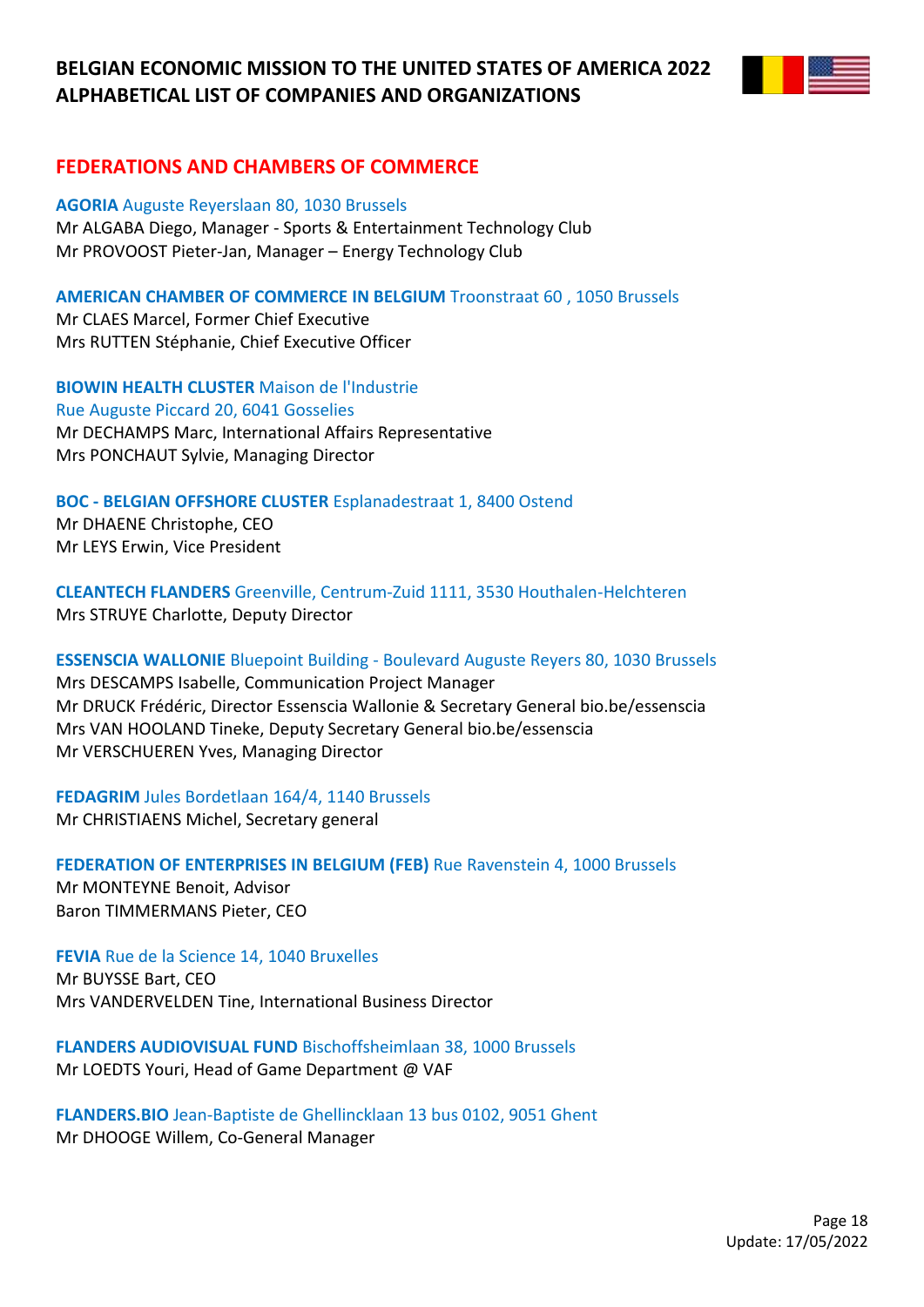

# **FEDERATIONS AND CHAMBERS OF COMMERCE**

**AGORIA** Auguste Reyerslaan 80, 1030 Brussels Mr ALGABA Diego, Manager - Sports & Entertainment Technology Club Mr PROVOOST Pieter-Jan, Manager – Energy Technology Club

### **AMERICAN CHAMBER OF COMMERCE IN BELGIUM** Troonstraat 60 , 1050 Brussels

Mr CLAES Marcel, Former Chief Executive Mrs RUTTEN Stéphanie, Chief Executive Officer

**BIOWIN HEALTH CLUSTER** Maison de l'Industrie Rue Auguste Piccard 20, 6041 Gosselies Mr DECHAMPS Marc, International Affairs Representative Mrs PONCHAUT Sylvie, Managing Director

### **BOC - BELGIAN OFFSHORE CLUSTER** Esplanadestraat 1, 8400 Ostend

Mr DHAENE Christophe, CEO Mr LEYS Erwin, Vice President

**CLEANTECH FLANDERS** Greenville, Centrum-Zuid 1111, 3530 Houthalen-Helchteren Mrs STRUYE Charlotte, Deputy Director

# **ESSENSCIA WALLONIE** Bluepoint Building - Boulevard Auguste Reyers 80, 1030 Brussels

Mrs DESCAMPS Isabelle, Communication Project Manager Mr DRUCK Frédéric, Director Essenscia Wallonie & Secretary General bio.be/essenscia Mrs VAN HOOLAND Tineke, Deputy Secretary General bio.be/essenscia Mr VERSCHUEREN Yves, Managing Director

**FEDAGRIM** Jules Bordetlaan 164/4, 1140 Brussels Mr CHRISTIAENS Michel, Secretary general

**FEDERATION OF ENTERPRISES IN BELGIUM (FEB)** Rue Ravenstein 4, 1000 Brussels Mr MONTEYNE Benoit, Advisor Baron TIMMERMANS Pieter, CEO

**FEVIA** Rue de la Science 14, 1040 Bruxelles Mr BUYSSE Bart, CEO Mrs VANDERVELDEN Tine, International Business Director

**FLANDERS AUDIOVISUAL FUND** Bischoffsheimlaan 38, 1000 Brussels Mr LOEDTS Youri, Head of Game Department @ VAF

**FLANDERS.BIO** Jean-Baptiste de Ghellincklaan 13 bus 0102, 9051 Ghent Mr DHOOGE Willem, Co-General Manager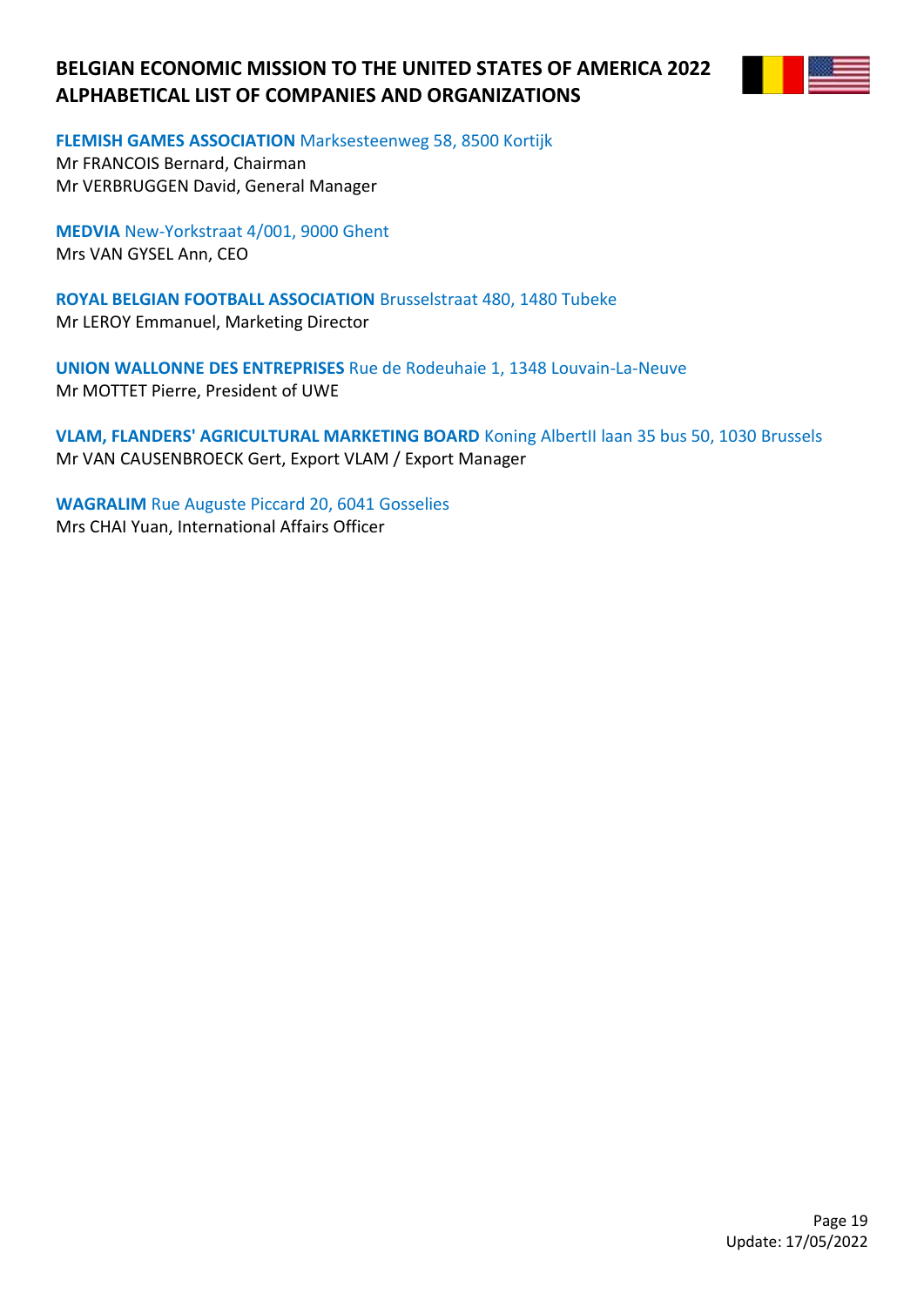

**FLEMISH GAMES ASSOCIATION** Marksesteenweg 58, 8500 Kortijk

Mr FRANCOIS Bernard, Chairman Mr VERBRUGGEN David, General Manager

**MEDVIA** New-Yorkstraat 4/001, 9000 Ghent Mrs VAN GYSEL Ann, CEO

**ROYAL BELGIAN FOOTBALL ASSOCIATION** Brusselstraat 480, 1480 Tubeke Mr LEROY Emmanuel, Marketing Director

**UNION WALLONNE DES ENTREPRISES** Rue de Rodeuhaie 1, 1348 Louvain-La-Neuve Mr MOTTET Pierre, President of UWE

**VLAM, FLANDERS' AGRICULTURAL MARKETING BOARD** Koning AlbertII laan 35 bus 50, 1030 Brussels Mr VAN CAUSENBROECK Gert, Export VLAM / Export Manager

**WAGRALIM** Rue Auguste Piccard 20, 6041 Gosselies Mrs CHAI Yuan, International Affairs Officer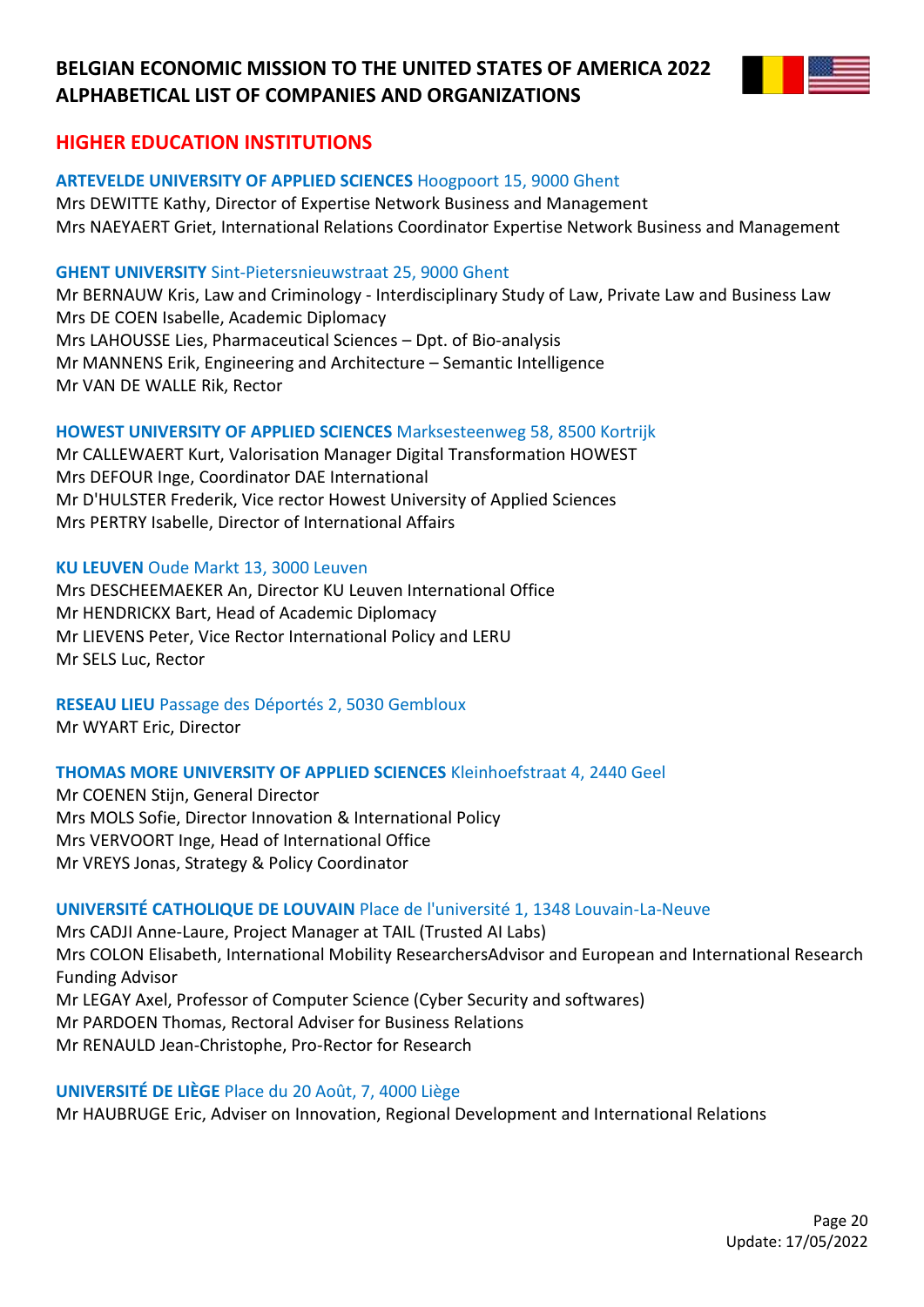

# **HIGHER EDUCATION INSTITUTIONS**

## **ARTEVELDE UNIVERSITY OF APPLIED SCIENCES** Hoogpoort 15, 9000 Ghent

Mrs DEWITTE Kathy, Director of Expertise Network Business and Management Mrs NAEYAERT Griet, International Relations Coordinator Expertise Network Business and Management

## **GHENT UNIVERSITY** Sint-Pietersnieuwstraat 25, 9000 Ghent

Mr BERNAUW Kris, Law and Criminology - Interdisciplinary Study of Law, Private Law and Business Law Mrs DE COEN Isabelle, Academic Diplomacy Mrs LAHOUSSE Lies, Pharmaceutical Sciences – Dpt. of Bio-analysis Mr MANNENS Erik, Engineering and Architecture – Semantic Intelligence Mr VAN DE WALLE Rik, Rector

## **HOWEST UNIVERSITY OF APPLIED SCIENCES** Marksesteenweg 58, 8500 Kortrijk

Mr CALLEWAERT Kurt, Valorisation Manager Digital Transformation HOWEST Mrs DEFOUR Inge, Coordinator DAE International Mr D'HULSTER Frederik, Vice rector Howest University of Applied Sciences Mrs PERTRY Isabelle, Director of International Affairs

## **KU LEUVEN** Oude Markt 13, 3000 Leuven

Mrs DESCHEEMAEKER An, Director KU Leuven International Office Mr HENDRICKX Bart, Head of Academic Diplomacy Mr LIEVENS Peter, Vice Rector International Policy and LERU Mr SELS Luc, Rector

**RESEAU LIEU** Passage des Déportés 2, 5030 Gembloux Mr WYART Eric, Director

## **THOMAS MORE UNIVERSITY OF APPLIED SCIENCES** Kleinhoefstraat 4, 2440 Geel

Mr COENEN Stijn, General Director Mrs MOLS Sofie, Director Innovation & International Policy Mrs VERVOORT Inge, Head of International Office Mr VREYS Jonas, Strategy & Policy Coordinator

## **UNIVERSITÉ CATHOLIQUE DE LOUVAIN** Place de l'université 1, 1348 Louvain-La-Neuve

Mrs CADJI Anne-Laure, Project Manager at TAIL (Trusted AI Labs) Mrs COLON Elisabeth, International Mobility ResearchersAdvisor and European and International Research Funding Advisor Mr LEGAY Axel, Professor of Computer Science (Cyber Security and softwares) Mr PARDOEN Thomas, Rectoral Adviser for Business Relations Mr RENAULD Jean-Christophe, Pro-Rector for Research

## **UNIVERSITÉ DE LIÈGE** Place du 20 Août, 7, 4000 Liège

Mr HAUBRUGE Eric, Adviser on Innovation, Regional Development and International Relations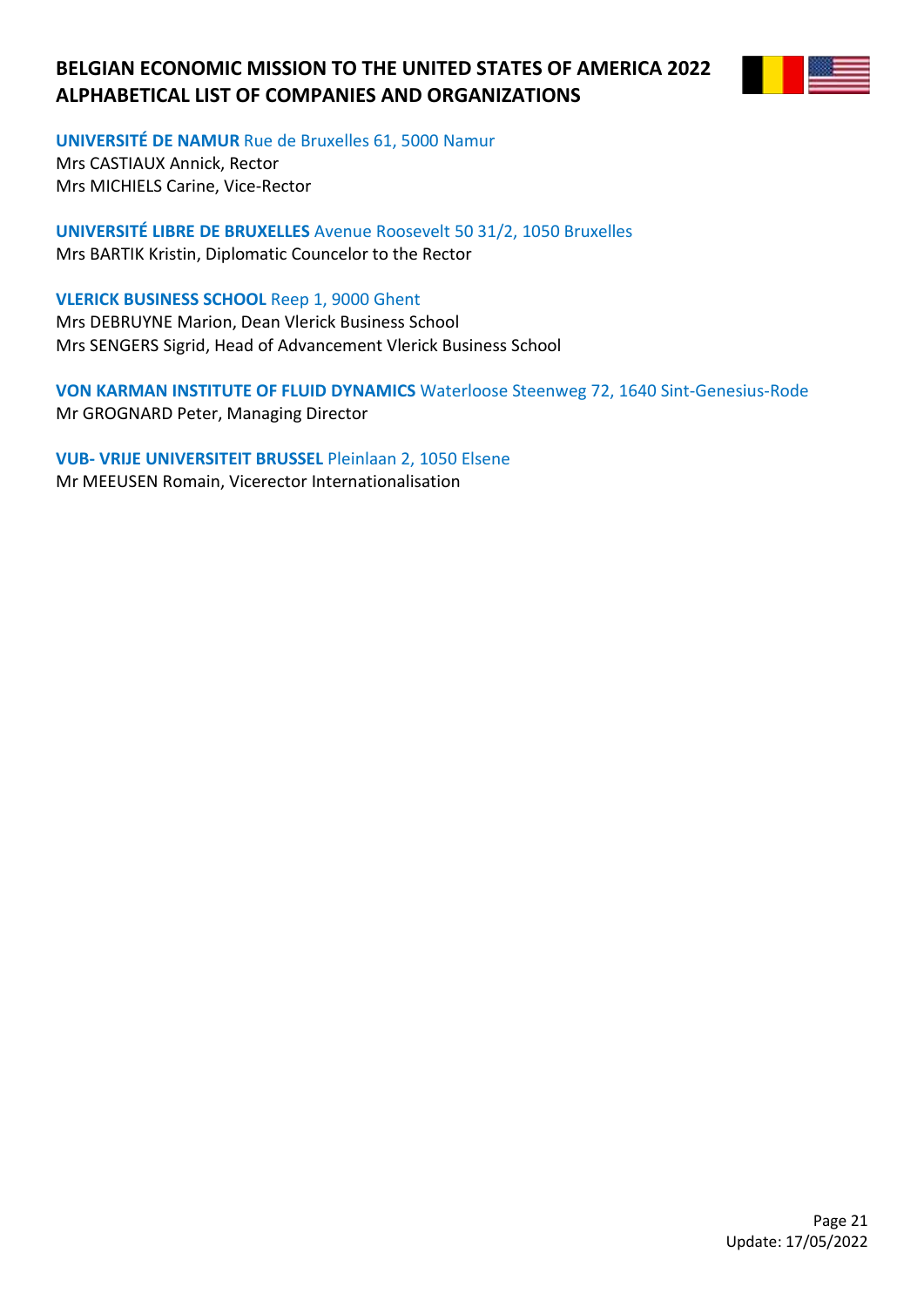

**UNIVERSITÉ DE NAMUR** Rue de Bruxelles 61, 5000 Namur

Mrs CASTIAUX Annick, Rector Mrs MICHIELS Carine, Vice-Rector

**UNIVERSITÉ LIBRE DE BRUXELLES** Avenue Roosevelt 50 31/2, 1050 Bruxelles Mrs BARTIK Kristin, Diplomatic Councelor to the Rector

**VLERICK BUSINESS SCHOOL** Reep 1, 9000 Ghent Mrs DEBRUYNE Marion, Dean Vlerick Business School Mrs SENGERS Sigrid, Head of Advancement Vlerick Business School

**VON KARMAN INSTITUTE OF FLUID DYNAMICS** Waterloose Steenweg 72, 1640 Sint-Genesius-Rode Mr GROGNARD Peter, Managing Director

**VUB- VRIJE UNIVERSITEIT BRUSSEL** Pleinlaan 2, 1050 Elsene Mr MEEUSEN Romain, Vicerector Internationalisation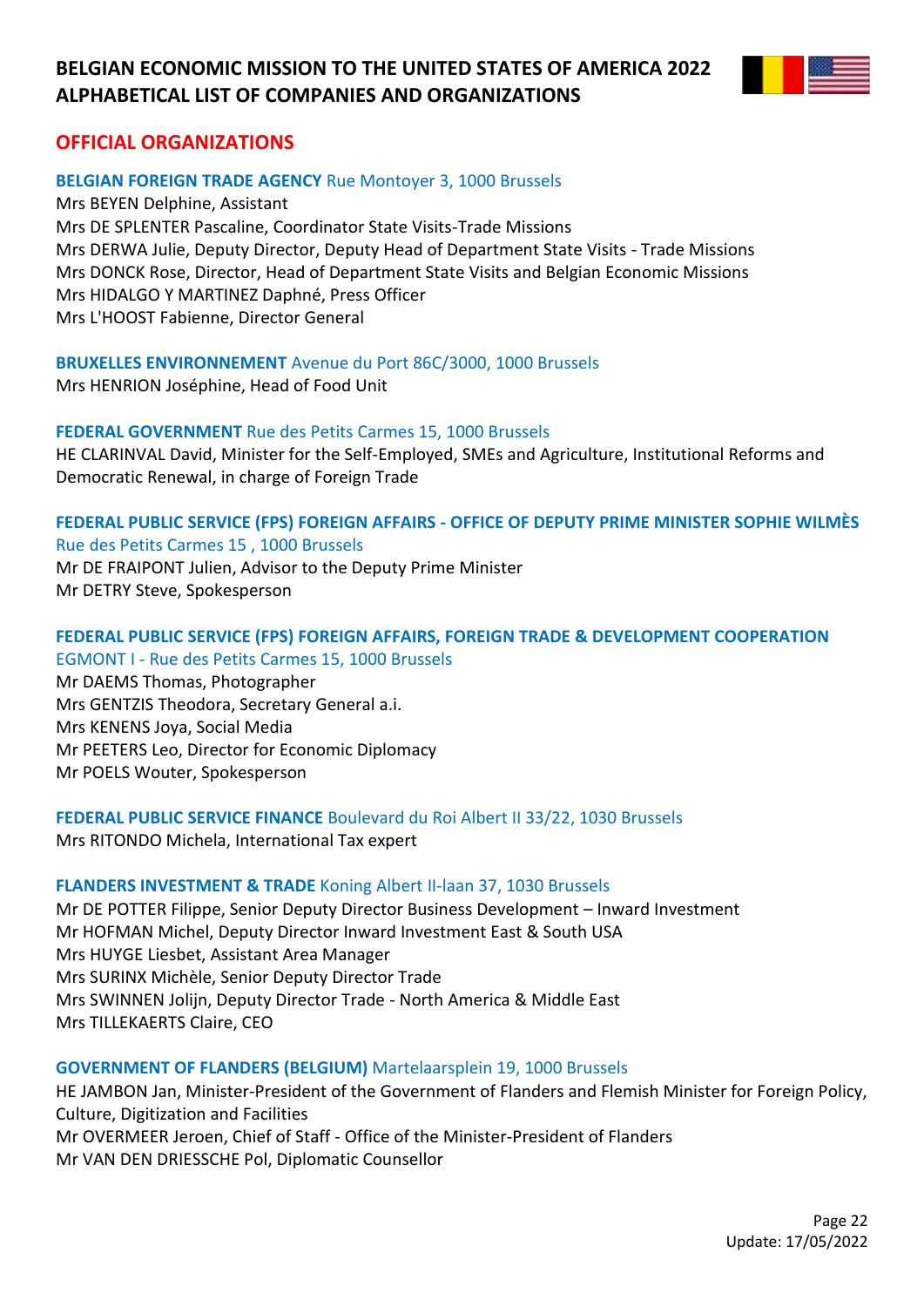

# **OFFICIAL ORGANIZATIONS**

## **BELGIAN FOREIGN TRADE AGENCY** Rue Montoyer 3, 1000 Brussels

Mrs BEYEN Delphine, Assistant Mrs DE SPLENTER Pascaline, Coordinator State Visits-Trade Missions Mrs DERWA Julie, Deputy Director, Deputy Head of Department State Visits - Trade Missions Mrs DONCK Rose, Director, Head of Department State Visits and Belgian Economic Missions Mrs HIDALGO Y MARTINEZ Daphné, Press Officer Mrs L'HOOST Fabienne, Director General

**BRUXELLES ENVIRONNEMENT** Avenue du Port 86C/3000, 1000 Brussels Mrs HENRION Joséphine, Head of Food Unit

### **FEDERAL GOVERNMENT** Rue des Petits Carmes 15, 1000 Brussels

HE CLARINVAL David, Minister for the Self-Employed, SMEs and Agriculture, Institutional Reforms and Democratic Renewal, in charge of Foreign Trade

## **FEDERAL PUBLIC SERVICE (FPS) FOREIGN AFFAIRS - OFFICE OF DEPUTY PRIME MINISTER SOPHIE WILMÈS** Rue des Petits Carmes 15 , 1000 Brussels

Mr DE FRAIPONT Julien, Advisor to the Deputy Prime Minister Mr DETRY Steve, Spokesperson

## **FEDERAL PUBLIC SERVICE (FPS) FOREIGN AFFAIRS, FOREIGN TRADE & DEVELOPMENT COOPERATION** EGMONT I - Rue des Petits Carmes 15, 1000 Brussels

Mr DAEMS Thomas, Photographer Mrs GENTZIS Theodora, Secretary General a.i. Mrs KENENS Joya, Social Media Mr PEETERS Leo, Director for Economic Diplomacy Mr POELS Wouter, Spokesperson

**FEDERAL PUBLIC SERVICE FINANCE** Boulevard du Roi Albert II 33/22, 1030 Brussels

Mrs RITONDO Michela, International Tax expert

## **FLANDERS INVESTMENT & TRADE** Koning Albert II-laan 37, 1030 Brussels

Mr DE POTTER Filippe, Senior Deputy Director Business Development – Inward Investment Mr HOFMAN Michel, Deputy Director Inward Investment East & South USA Mrs HUYGE Liesbet, Assistant Area Manager Mrs SURINX Michèle, Senior Deputy Director Trade Mrs SWINNEN Jolijn, Deputy Director Trade - North America & Middle East Mrs TILLEKAERTS Claire, CEO

## **GOVERNMENT OF FLANDERS (BELGIUM)** Martelaarsplein 19, 1000 Brussels

HE JAMBON Jan, Minister-President of the Government of Flanders and Flemish Minister for Foreign Policy, Culture, Digitization and Facilities Mr OVERMEER Jeroen, Chief of Staff - Office of the Minister-President of Flanders Mr VAN DEN DRIESSCHE Pol, Diplomatic Counsellor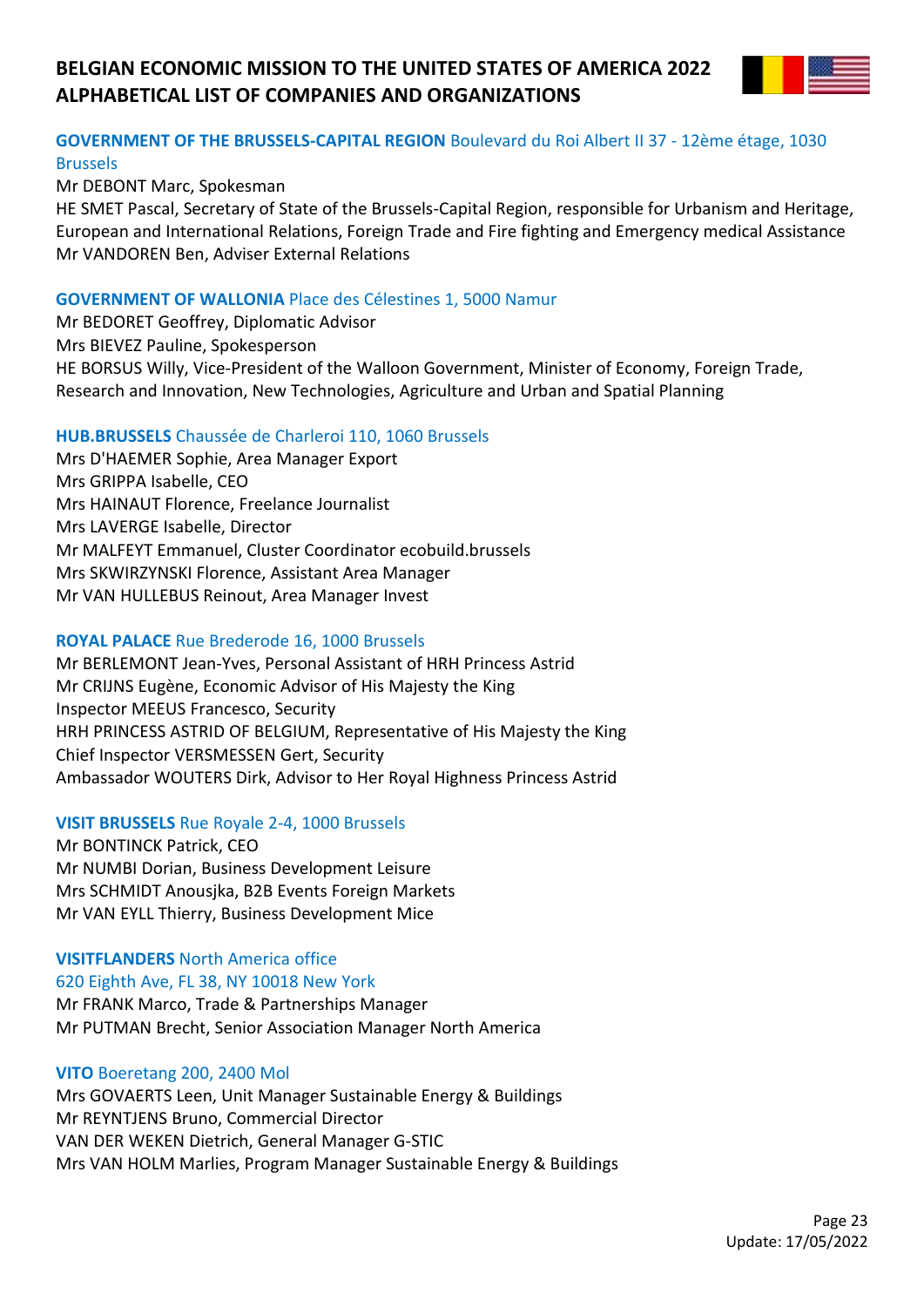

# **GOVERNMENT OF THE BRUSSELS-CAPITAL REGION** Boulevard du Roi Albert II 37 - 12ème étage, 1030 Brussels

Mr DEBONT Marc, Spokesman

HE SMET Pascal, Secretary of State of the Brussels-Capital Region, responsible for Urbanism and Heritage, European and International Relations, Foreign Trade and Fire fighting and Emergency medical Assistance Mr VANDOREN Ben, Adviser External Relations

### **GOVERNMENT OF WALLONIA** Place des Célestines 1, 5000 Namur

Mr BEDORET Geoffrey, Diplomatic Advisor Mrs BIEVEZ Pauline, Spokesperson HE BORSUS Willy, Vice-President of the Walloon Government, Minister of Economy, Foreign Trade, Research and Innovation, New Technologies, Agriculture and Urban and Spatial Planning

### **HUB.BRUSSELS** Chaussée de Charleroi 110, 1060 Brussels

Mrs D'HAEMER Sophie, Area Manager Export Mrs GRIPPA Isabelle, CEO Mrs HAINAUT Florence, Freelance Journalist Mrs LAVERGE Isabelle, Director Mr MALFEYT Emmanuel, Cluster Coordinator ecobuild.brussels Mrs SKWIRZYNSKI Florence, Assistant Area Manager Mr VAN HULLEBUS Reinout, Area Manager Invest

## **ROYAL PALACE** Rue Brederode 16, 1000 Brussels

Mr BERLEMONT Jean-Yves, Personal Assistant of HRH Princess Astrid Mr CRIJNS Eugène, Economic Advisor of His Majesty the King Inspector MEEUS Francesco, Security HRH PRINCESS ASTRID OF BELGIUM, Representative of His Majesty the King Chief Inspector VERSMESSEN Gert, Security Ambassador WOUTERS Dirk, Advisor to Her Royal Highness Princess Astrid

## **VISIT BRUSSELS** Rue Royale 2-4, 1000 Brussels

Mr BONTINCK Patrick, CEO Mr NUMBI Dorian, Business Development Leisure Mrs SCHMIDT Anousjka, B2B Events Foreign Markets Mr VAN EYLL Thierry, Business Development Mice

## **VISITFLANDERS** North America office 620 Eighth Ave, FL 38, NY 10018 New York Mr FRANK Marco, Trade & Partnerships Manager Mr PUTMAN Brecht, Senior Association Manager North America

### **VITO** Boeretang 200, 2400 Mol

Mrs GOVAERTS Leen, Unit Manager Sustainable Energy & Buildings Mr REYNTJENS Bruno, Commercial Director VAN DER WEKEN Dietrich, General Manager G-STIC Mrs VAN HOLM Marlies, Program Manager Sustainable Energy & Buildings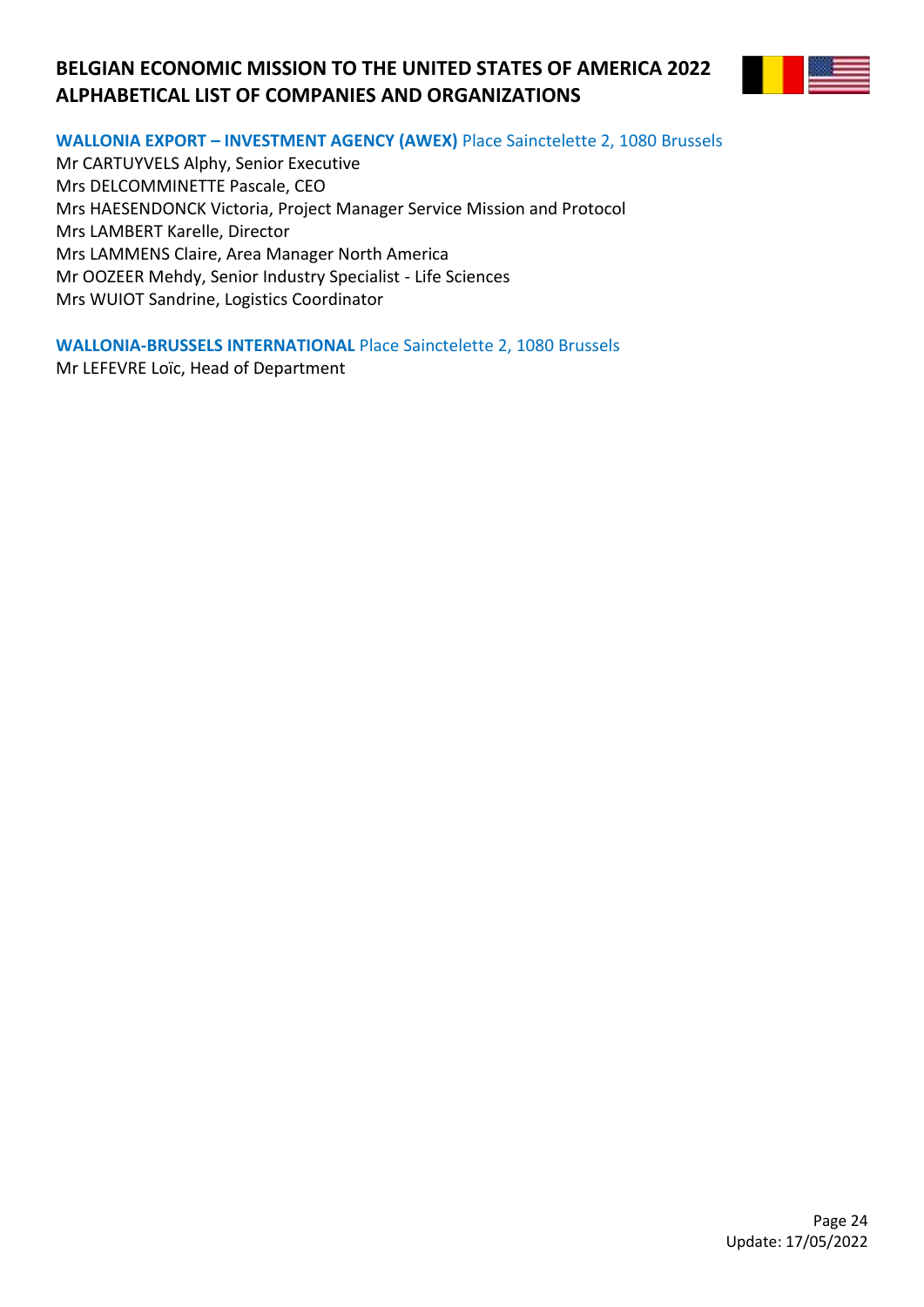

## **WALLONIA EXPORT – INVESTMENT AGENCY (AWEX)** Place Sainctelette 2, 1080 Brussels

Mr CARTUYVELS Alphy, Senior Executive Mrs DELCOMMINETTE Pascale, CEO Mrs HAESENDONCK Victoria, Project Manager Service Mission and Protocol Mrs LAMBERT Karelle, Director Mrs LAMMENS Claire, Area Manager North America Mr OOZEER Mehdy, Senior Industry Specialist - Life Sciences Mrs WUIOT Sandrine, Logistics Coordinator

**WALLONIA-BRUSSELS INTERNATIONAL** Place Sainctelette 2, 1080 Brussels Mr LEFEVRE Loïc, Head of Department